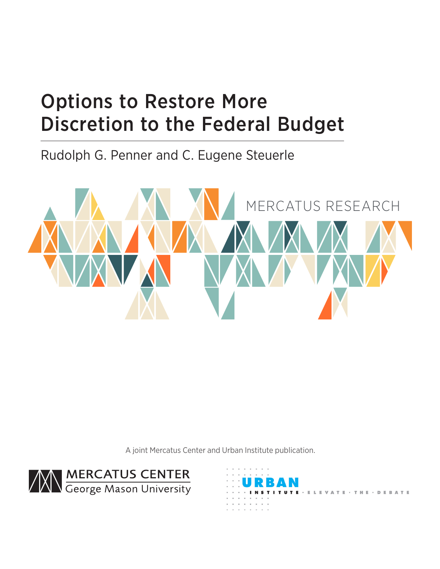# Options to Restore More Discretion to the Federal Budget

Rudolph G. Penner and C. Eugene Steuerle



A joint Mercatus Center and Urban Institute publication.



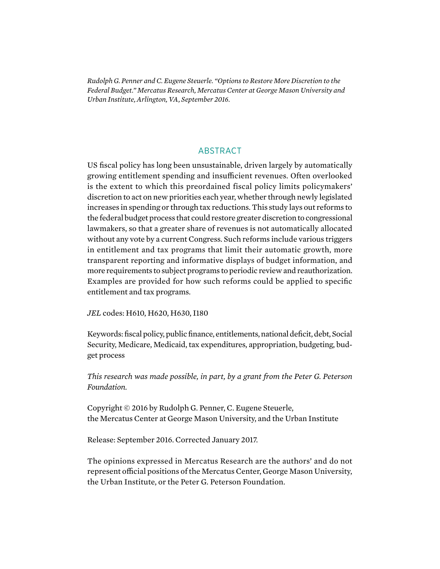*Rudolph G. Penner and C. Eugene Steuerle. "Options to Restore More Discretion to the Federal Budget." Mercatus Research, Mercatus Center at George Mason University and Urban Institute, Arlington, VA, September 2016.*

## ABSTRACT

US fiscal policy has long been unsustainable, driven largely by automatically growing entitlement spending and insufficient revenues. Often overlooked is the extent to which this preordained fiscal policy limits policymakers' discretion to act on new priorities each year, whether through newly legislated increases in spending or through tax reductions. This study lays out reforms to the federal budget process that could restore greater discretion to congressional lawmakers, so that a greater share of revenues is not automatically allocated without any vote by a current Congress. Such reforms include various triggers in entitlement and tax programs that limit their automatic growth, more transparent reporting and informative displays of budget information, and more requirements to subject programs to periodic review and reauthorization. Examples are provided for how such reforms could be applied to specific entitlement and tax programs.

*JEL* codes: H610, H620, H630, I180

Keywords: fiscal policy, public finance, entitlements, national deficit, debt, Social Security, Medicare, Medicaid, tax expenditures, appropriation, budgeting, budget process

*This research was made possible, in part, by a grant from the Peter G. Peterson Foundation.*

Copyright © 2016 by Rudolph G. Penner, C. Eugene Steuerle, the Mercatus Center at George Mason University, and the Urban Institute

Release: September 2016. Corrected January 2017.

The opinions expressed in Mercatus Research are the authors' and do not represent official positions of the Mercatus Center, George Mason University, the Urban Institute, or the Peter G. Peterson Foundation.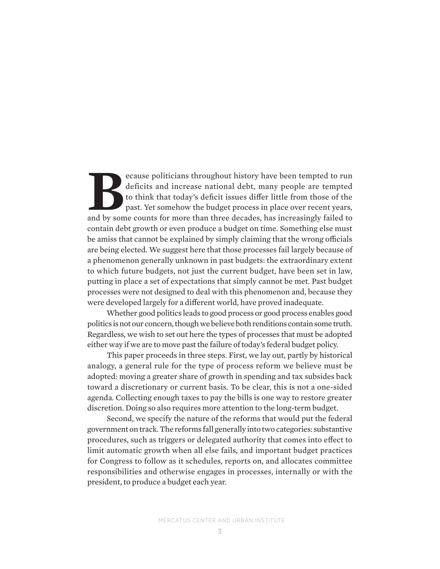ecause politicians throughout history have been tempted to run deficits and increase national debt, many people are tempted to think that today's deficit issues differ little from those of the past. Yet somehow the budget deficits and increase national debt, many people are tempted to think that today's deficit issues differ little from those of the past. Yet somehow the budget process in place over recent years, and by some counts for more than three decades, has increasingly failed to contain debt growth or even produce a budget on time. Something else must be amiss that cannot be explained by simply claiming that the wrong officials are being elected. We suggest here that those processes fail largely because of a phenomenon generally unknown in past budgets: the extraordinary extent to which future budgets, not just the current budget, have been set in law, putting in place a set of expectations that simply cannot be met. Past budget processes were not designed to deal with this phenomenon and, because they were developed largely for a different world, have proved inadequate.

Whether good politics leads to good process or good process enables good politics is not our concern, though we believe both renditions contain some truth. Regardless, we wish to set out here the types of processes that must be adopted either way if we are to move past the failure of today's federal budget policy.

This paper proceeds in three steps. First, we lay out, partly by historical analogy, a general rule for the type of process reform we believe must be adopted: moving a greater share of growth in spending and tax subsides back toward a discretionary or current basis. To be clear, this is not a one-sided agenda. Collecting enough taxes to pay the bills is one way to restore greater discretion. Doing so also requires more attention to the long-term budget.

Second, we specify the nature of the reforms that would put the federal government on track. The reforms fall generally into two categories: substantive procedures, such as triggers or delegated authority that comes into effect to limit automatic growth when all else fails, and important budget practices for Congress to follow as it schedules, reports on, and allocates committee responsibilities and otherwise engages in processes, internally or with the president, to produce a budget each year.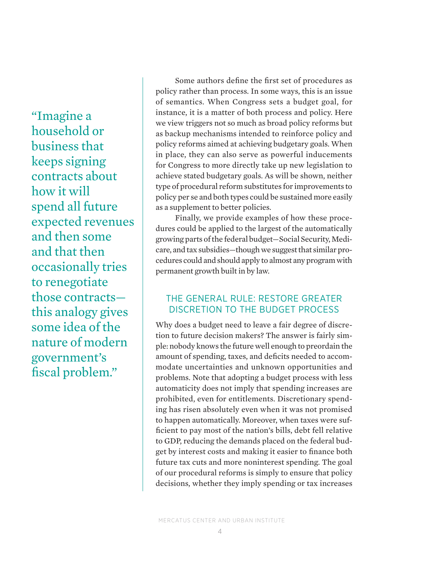"Imagine a household or business that keeps signing contracts about how it will spend all future expected revenues and then some and that then occasionally tries to renegotiate those contracts this analogy gives some idea of the nature of modern government's fiscal problem."

Some authors define the first set of procedures as policy rather than process. In some ways, this is an issue of semantics. When Congress sets a budget goal, for instance, it is a matter of both process and policy. Here we view triggers not so much as broad policy reforms but as backup mechanisms intended to reinforce policy and policy reforms aimed at achieving budgetary goals. When in place, they can also serve as powerful inducements for Congress to more directly take up new legislation to achieve stated budgetary goals. As will be shown, neither type of procedural reform substitutes for improvements to policy per se and both types could be sustained more easily as a supplement to better policies.

Finally, we provide examples of how these procedures could be applied to the largest of the automatically growing parts of the federal budget—Social Security, Medicare, and tax subsidies—though we suggest that similar procedures could and should apply to almost any program with permanent growth built in by law.

## THE GENERAL RULE: RESTORE GREATER DISCRETION TO THE BUDGET PROCESS

Why does a budget need to leave a fair degree of discretion to future decision makers? The answer is fairly simple: nobody knows the future well enough to preordain the amount of spending, taxes, and deficits needed to accommodate uncertainties and unknown opportunities and problems. Note that adopting a budget process with less automaticity does not imply that spending increases are prohibited, even for entitlements. Discretionary spending has risen absolutely even when it was not promised to happen automatically. Moreover, when taxes were sufficient to pay most of the nation's bills, debt fell relative to GDP, reducing the demands placed on the federal budget by interest costs and making it easier to finance both future tax cuts and more noninterest spending. The goal of our procedural reforms is simply to ensure that policy decisions, whether they imply spending or tax increases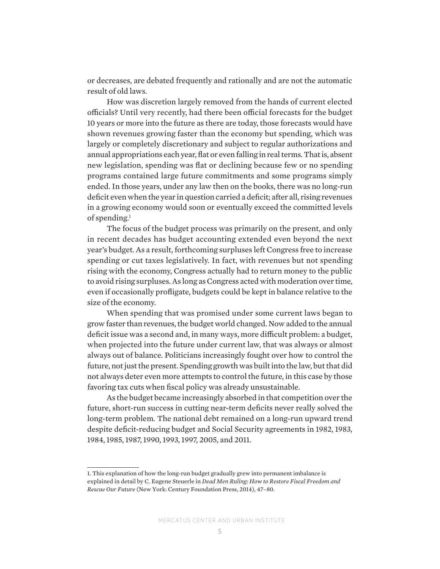or decreases, are debated frequently and rationally and are not the automatic result of old laws.

How was discretion largely removed from the hands of current elected officials? Until very recently, had there been official forecasts for the budget 10 years or more into the future as there are today, those forecasts would have shown revenues growing faster than the economy but spending, which was largely or completely discretionary and subject to regular authorizations and annual appropriations each year, flat or even falling in real terms. That is, absent new legislation, spending was flat or declining because few or no spending programs contained large future commitments and some programs simply ended. In those years, under any law then on the books, there was no long-run deficit even when the year in question carried a deficit; after all, rising revenues in a growing economy would soon or eventually exceed the committed levels of spending.<sup>1</sup>

The focus of the budget process was primarily on the present, and only in recent decades has budget accounting extended even beyond the next year's budget. As a result, forthcoming surpluses left Congress free to increase spending or cut taxes legislatively. In fact, with revenues but not spending rising with the economy, Congress actually had to return money to the public to avoid rising surpluses. As long as Congress acted with moderation over time, even if occasionally profligate, budgets could be kept in balance relative to the size of the economy.

When spending that was promised under some current laws began to grow faster than revenues, the budget world changed. Now added to the annual deficit issue was a second and, in many ways, more difficult problem: a budget, when projected into the future under current law, that was always or almost always out of balance. Politicians increasingly fought over how to control the future, not just the present. Spending growth was built into the law, but that did not always deter even more attempts to control the future, in this case by those favoring tax cuts when fiscal policy was already unsustainable.

As the budget became increasingly absorbed in that competition over the future, short-run success in cutting near-term deficits never really solved the long-term problem. The national debt remained on a long-run upward trend despite deficit-reducing budget and Social Security agreements in 1982, 1983, 1984, 1985, 1987, 1990, 1993, 1997, 2005, and 2011.

<sup>1.</sup> This explanation of how the long-run budget gradually grew into permanent imbalance is explained in detail by C. Eugene Steuerle in *Dead Men Ruling: How to Restore Fiscal Freedom and Rescue Our Future* (New York: Century Foundation Press, 2014), 47–80.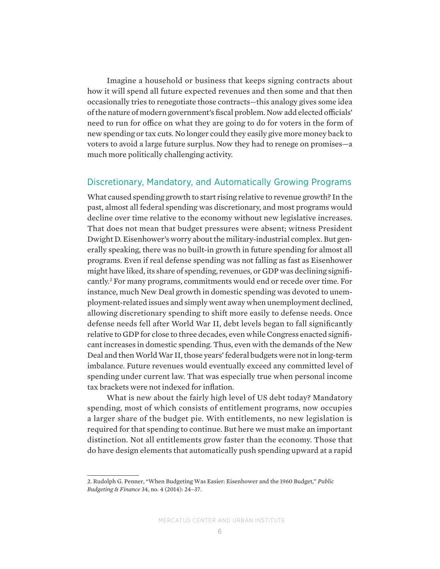Imagine a household or business that keeps signing contracts about how it will spend all future expected revenues and then some and that then occasionally tries to renegotiate those contracts—this analogy gives some idea of the nature of modern government's fiscal problem. Now add elected officials' need to run for office on what they are going to do for voters in the form of new spending or tax cuts. No longer could they easily give more money back to voters to avoid a large future surplus. Now they had to renege on promises—a much more politically challenging activity.

### Discretionary, Mandatory, and Automatically Growing Programs

What caused spending growth to start rising relative to revenue growth? In the past, almost all federal spending was discretionary, and most programs would decline over time relative to the economy without new legislative increases. That does not mean that budget pressures were absent; witness President Dwight D. Eisenhower's worry about the military-industrial complex. But generally speaking, there was no built-in growth in future spending for almost all programs. Even if real defense spending was not falling as fast as Eisenhower might have liked, its share of spending, revenues, or GDP was declining significantly.2 For many programs, commitments would end or recede over time. For instance, much New Deal growth in domestic spending was devoted to unemployment-related issues and simply went away when unemployment declined, allowing discretionary spending to shift more easily to defense needs. Once defense needs fell after World War II, debt levels began to fall significantly relative to GDP for close to three decades, even while Congress enacted significant increases in domestic spending. Thus, even with the demands of the New Deal and then World War II, those years' federal budgets were not in long-term imbalance. Future revenues would eventually exceed any committed level of spending under current law. That was especially true when personal income tax brackets were not indexed for inflation.

What is new about the fairly high level of US debt today? Mandatory spending, most of which consists of entitlement programs, now occupies a larger share of the budget pie. With entitlements, no new legislation is required for that spending to continue. But here we must make an important distinction. Not all entitlements grow faster than the economy. Those that do have design elements that automatically push spending upward at a rapid

<sup>2.</sup> Rudolph G. Penner, "When Budgeting Was Easier: Eisenhower and the 1960 Budget," *Public Budgeting & Finance* 34, no. 4 (2014): 24–37.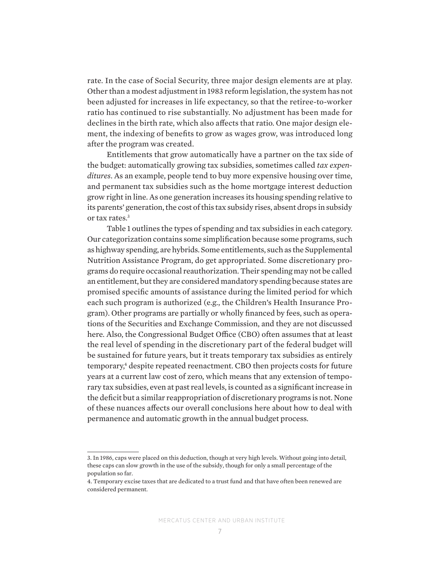rate. In the case of Social Security, three major design elements are at play. Other than a modest adjustment in 1983 reform legislation, the system has not been adjusted for increases in life expectancy, so that the retiree-to-worker ratio has continued to rise substantially. No adjustment has been made for declines in the birth rate, which also affects that ratio. One major design element, the indexing of benefits to grow as wages grow, was introduced long after the program was created.

Entitlements that grow automatically have a partner on the tax side of the budget: automatically growing tax subsidies, sometimes called *tax expenditures*. As an example, people tend to buy more expensive housing over time, and permanent tax subsidies such as the home mortgage interest deduction grow right in line. As one generation increases its housing spending relative to its parents' generation, the cost of this tax subsidy rises, absent drops in subsidy or tax rates.3

Table 1 outlines the types of spending and tax subsidies in each category. Our categorization contains some simplification because some programs, such as highway spending, are hybrids. Some entitlements, such as the Supplemental Nutrition Assistance Program, do get appropriated. Some discretionary programs do require occasional reauthorization. Their spending may not be called an entitlement, but they are considered mandatory spending because states are promised specific amounts of assistance during the limited period for which each such program is authorized (e.g., the Children's Health Insurance Program). Other programs are partially or wholly financed by fees, such as operations of the Securities and Exchange Commission, and they are not discussed here. Also, the Congressional Budget Office (CBO) often assumes that at least the real level of spending in the discretionary part of the federal budget will be sustained for future years, but it treats temporary tax subsidies as entirely temporary,<sup>4</sup> despite repeated reenactment. CBO then projects costs for future years at a current law cost of zero, which means that any extension of temporary tax subsidies, even at past real levels, is counted as a significant increase in the deficit but a similar reappropriation of discretionary programs is not. None of these nuances affects our overall conclusions here about how to deal with permanence and automatic growth in the annual budget process.

<sup>3.</sup> In 1986, caps were placed on this deduction, though at very high levels. Without going into detail, these caps can slow growth in the use of the subsidy, though for only a small percentage of the population so far.

<sup>4.</sup> Temporary excise taxes that are dedicated to a trust fund and that have often been renewed are considered permanent.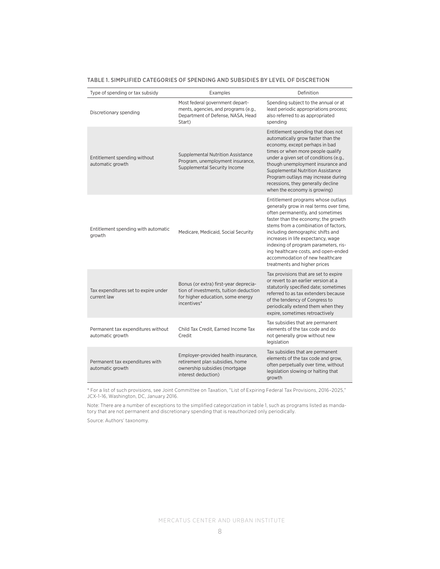| Type of spending or tax subsidy                        | Examples                                                                                                                            | Definition                                                                                                                                                                                                                                                                                                                                                                                                                    |  |
|--------------------------------------------------------|-------------------------------------------------------------------------------------------------------------------------------------|-------------------------------------------------------------------------------------------------------------------------------------------------------------------------------------------------------------------------------------------------------------------------------------------------------------------------------------------------------------------------------------------------------------------------------|--|
| Discretionary spending                                 | Most federal government depart-<br>ments, agencies, and programs (e.g.,<br>Department of Defense, NASA, Head<br>Start)              | Spending subject to the annual or at<br>least periodic appropriations process;<br>also referred to as appropriated<br>spending                                                                                                                                                                                                                                                                                                |  |
| Entitlement spending without<br>automatic growth       | <b>Supplemental Nutrition Assistance</b><br>Program, unemployment insurance,<br>Supplemental Security Income                        | Entitlement spending that does not<br>automatically grow faster than the<br>economy, except perhaps in bad<br>times or when more people qualify<br>under a given set of conditions (e.g.,<br>though unemployment insurance and<br><b>Supplemental Nutrition Assistance</b><br>Program outlays may increase during<br>recessions, they generally decline<br>when the economy is growing)                                       |  |
| Entitlement spending with automatic<br>growth          | Medicare, Medicaid, Social Security                                                                                                 | Entitlement programs whose outlays<br>generally grow in real terms over time,<br>often permanently, and sometimes<br>faster than the economy; the growth<br>stems from a combination of factors,<br>including demographic shifts and<br>increases in life expectancy, wage<br>indexing of program parameters, ris-<br>ing healthcare costs, and open-ended<br>accommodation of new healthcare<br>treatments and higher prices |  |
| Tax expenditures set to expire under<br>current law    | Bonus (or extra) first-year deprecia-<br>tion of investments, tuition deduction<br>for higher education, some energy<br>incentives* | Tax provisions that are set to expire<br>or revert to an earlier version at a<br>statutorily specified date; sometimes<br>referred to as tax extenders because<br>of the tendency of Congress to<br>periodically extend them when they<br>expire, sometimes retroactively                                                                                                                                                     |  |
| Permanent tax expenditures without<br>automatic growth | Child Tax Credit, Earned Income Tax<br>Credit                                                                                       | Tax subsidies that are permanent<br>elements of the tax code and do<br>not generally grow without new<br>legislation                                                                                                                                                                                                                                                                                                          |  |
| Permanent tax expenditures with<br>automatic growth    | Employer-provided health insurance,<br>retirement plan subsidies, home<br>ownership subsidies (mortgage<br>interest deduction)      | Tax subsidies that are permanent<br>elements of the tax code and grow.<br>often perpetually over time, without<br>legislation slowing or halting that<br>growth                                                                                                                                                                                                                                                               |  |

\* For a list of such provisions, see Joint Committee on Taxation, "List of Expiring Federal Tax Provisions, 2016–2025," JCX-1-16, Washington, DC, January 2016.

Note: There are a number of exceptions to the simplified categorization in table 1, such as programs listed as mandatory that are not permanent and discretionary spending that is reauthorized only periodically.

Source: Authors' taxonomy.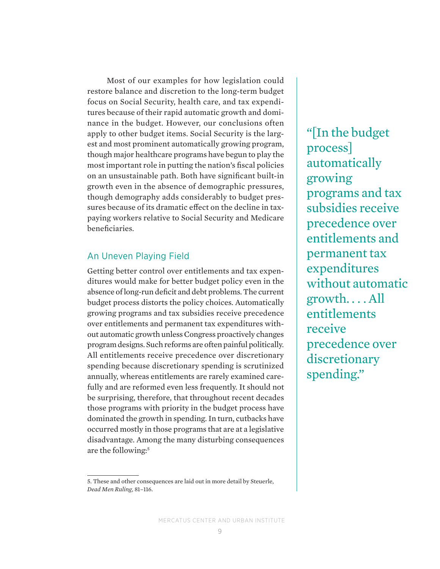Most of our examples for how legislation could restore balance and discretion to the long-term budget focus on Social Security, health care, and tax expenditures because of their rapid automatic growth and dominance in the budget. However, our conclusions often apply to other budget items. Social Security is the largest and most prominent automatically growing program, though major healthcare programs have begun to play the most important role in putting the nation's fiscal policies on an unsustainable path. Both have significant built-in growth even in the absence of demographic pressures, though demography adds considerably to budget pressures because of its dramatic effect on the decline in taxpaying workers relative to Social Security and Medicare beneficiaries.

## An Uneven Playing Field

Getting better control over entitlements and tax expenditures would make for better budget policy even in the absence of long-run deficit and debt problems. The current budget process distorts the policy choices. Automatically growing programs and tax subsidies receive precedence over entitlements and permanent tax expenditures without automatic growth unless Congress proactively changes program designs. Such reforms are often painful politically. All entitlements receive precedence over discretionary spending because discretionary spending is scrutinized annually, whereas entitlements are rarely examined carefully and are reformed even less frequently. It should not be surprising, therefore, that throughout recent decades those programs with priority in the budget process have dominated the growth in spending. In turn, cutbacks have occurred mostly in those programs that are at a legislative disadvantage. Among the many disturbing consequences are the following:<sup>5</sup>

5. These and other consequences are laid out in more detail by Steuerle, *Dead Men Ruling*, 81–116.

"[In the budget process] automatically growing programs and tax subsidies receive precedence over entitlements and permanent tax expenditures without automatic growth. . . . All entitlements receive precedence over discretionary spending."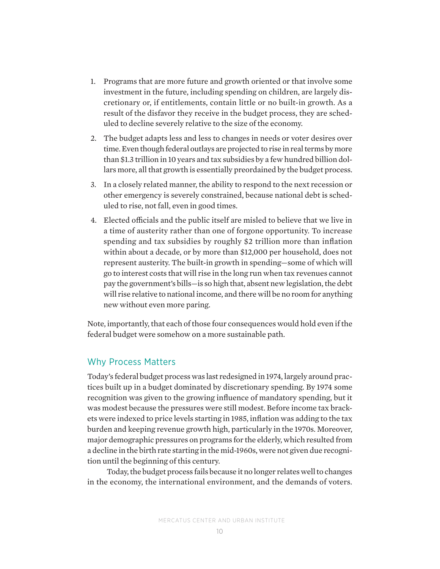- 1. Programs that are more future and growth oriented or that involve some investment in the future, including spending on children, are largely discretionary or, if entitlements, contain little or no built-in growth. As a result of the disfavor they receive in the budget process, they are scheduled to decline severely relative to the size of the economy.
- 2. The budget adapts less and less to changes in needs or voter desires over time. Even though federal outlays are projected to rise in real terms by more than \$1.3 trillion in 10 years and tax subsidies by a few hundred billion dollars more, all that growth is essentially preordained by the budget process.
- 3. In a closely related manner, the ability to respond to the next recession or other emergency is severely constrained, because national debt is scheduled to rise, not fall, even in good times.
- 4. Elected officials and the public itself are misled to believe that we live in a time of austerity rather than one of forgone opportunity. To increase spending and tax subsidies by roughly \$2 trillion more than inflation within about a decade, or by more than \$12,000 per household, does not represent austerity. The built-in growth in spending—some of which will go to interest costs that will rise in the long run when tax revenues cannot pay the government's bills—is so high that, absent new legislation, the debt will rise relative to national income, and there will be no room for anything new without even more paring.

Note, importantly, that each of those four consequences would hold even if the federal budget were somehow on a more sustainable path.

## Why Process Matters

Today's federal budget process was last redesigned in 1974, largely around practices built up in a budget dominated by discretionary spending. By 1974 some recognition was given to the growing influence of mandatory spending, but it was modest because the pressures were still modest. Before income tax brackets were indexed to price levels starting in 1985, inflation was adding to the tax burden and keeping revenue growth high, particularly in the 1970s. Moreover, major demographic pressures on programs for the elderly, which resulted from a decline in the birth rate starting in the mid-1960s, were not given due recognition until the beginning of this century.

Today, the budget process fails because it no longer relates well to changes in the economy, the international environment, and the demands of voters.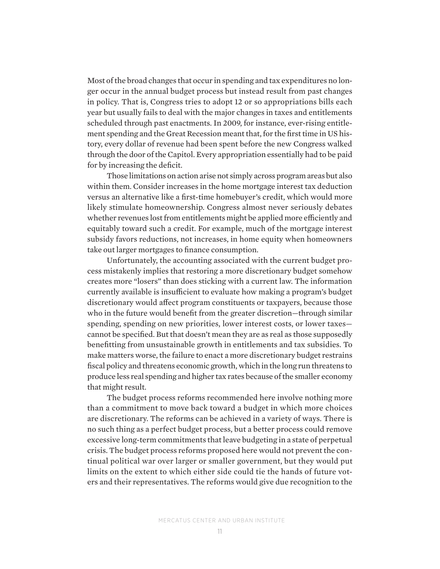Most of the broad changes that occur in spending and tax expenditures no longer occur in the annual budget process but instead result from past changes in policy. That is, Congress tries to adopt 12 or so appropriations bills each year but usually fails to deal with the major changes in taxes and entitlements scheduled through past enactments. In 2009, for instance, ever-rising entitlement spending and the Great Recession meant that, for the first time in US history, every dollar of revenue had been spent before the new Congress walked through the door of the Capitol. Every appropriation essentially had to be paid for by increasing the deficit.

Those limitations on action arise not simply across program areas but also within them. Consider increases in the home mortgage interest tax deduction versus an alternative like a first-time homebuyer's credit, which would more likely stimulate homeownership. Congress almost never seriously debates whether revenues lost from entitlements might be applied more efficiently and equitably toward such a credit. For example, much of the mortgage interest subsidy favors reductions, not increases, in home equity when homeowners take out larger mortgages to finance consumption.

Unfortunately, the accounting associated with the current budget process mistakenly implies that restoring a more discretionary budget somehow creates more "losers" than does sticking with a current law. The information currently available is insufficient to evaluate how making a program's budget discretionary would affect program constituents or taxpayers, because those who in the future would benefit from the greater discretion—through similar spending, spending on new priorities, lower interest costs, or lower taxes cannot be specified. But that doesn't mean they are as real as those supposedly benefitting from unsustainable growth in entitlements and tax subsidies. To make matters worse, the failure to enact a more discretionary budget restrains fiscal policy and threatens economic growth, which in the long run threatens to produce less real spending and higher tax rates because of the smaller economy that might result.

The budget process reforms recommended here involve nothing more than a commitment to move back toward a budget in which more choices are discretionary. The reforms can be achieved in a variety of ways. There is no such thing as a perfect budget process, but a better process could remove excessive long-term commitments that leave budgeting in a state of perpetual crisis. The budget process reforms proposed here would not prevent the continual political war over larger or smaller government, but they would put limits on the extent to which either side could tie the hands of future voters and their representatives. The reforms would give due recognition to the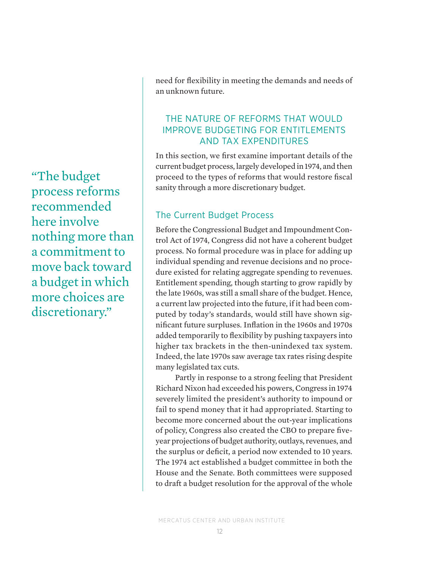"The budget process reforms recommended here involve nothing more than a commitment to move back toward a budget in which more choices are discretionary."

need for flexibility in meeting the demands and needs of an unknown future.

## THE NATURE OF REFORMS THAT WOULD IMPROVE BUDGETING FOR ENTITLEMENTS AND TAX EXPENDITURES

In this section, we first examine important details of the current budget process, largely developed in 1974, and then proceed to the types of reforms that would restore fiscal sanity through a more discretionary budget.

# The Current Budget Process

Before the Congressional Budget and Impoundment Control Act of 1974, Congress did not have a coherent budget process. No formal procedure was in place for adding up individual spending and revenue decisions and no procedure existed for relating aggregate spending to revenues. Entitlement spending, though starting to grow rapidly by the late 1960s, was still a small share of the budget. Hence, a current law projected into the future, if it had been computed by today's standards, would still have shown significant future surpluses. Inflation in the 1960s and 1970s added temporarily to flexibility by pushing taxpayers into higher tax brackets in the then-unindexed tax system. Indeed, the late 1970s saw average tax rates rising despite many legislated tax cuts.

Partly in response to a strong feeling that President Richard Nixon had exceeded his powers, Congress in 1974 severely limited the president's authority to impound or fail to spend money that it had appropriated. Starting to become more concerned about the out-year implications of policy, Congress also created the CBO to prepare fiveyear projections of budget authority, outlays, revenues, and the surplus or deficit, a period now extended to 10 years. The 1974 act established a budget committee in both the House and the Senate. Both committees were supposed to draft a budget resolution for the approval of the whole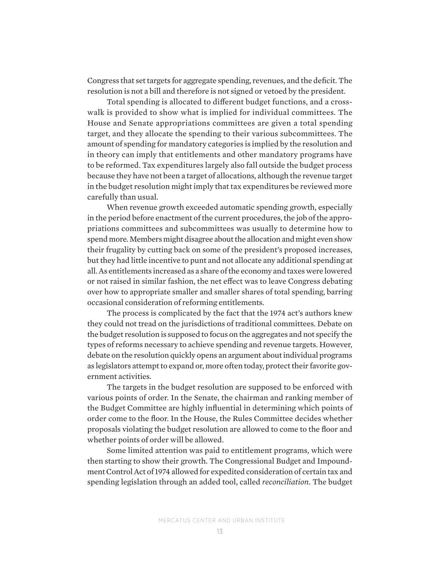Congress that set targets for aggregate spending, revenues, and the deficit. The resolution is not a bill and therefore is not signed or vetoed by the president.

Total spending is allocated to different budget functions, and a crosswalk is provided to show what is implied for individual committees. The House and Senate appropriations committees are given a total spending target, and they allocate the spending to their various subcommittees. The amount of spending for mandatory categories is implied by the resolution and in theory can imply that entitlements and other mandatory programs have to be reformed. Tax expenditures largely also fall outside the budget process because they have not been a target of allocations, although the revenue target in the budget resolution might imply that tax expenditures be reviewed more carefully than usual.

When revenue growth exceeded automatic spending growth, especially in the period before enactment of the current procedures, the job of the appropriations committees and subcommittees was usually to determine how to spend more. Members might disagree about the allocation and might even show their frugality by cutting back on some of the president's proposed increases, but they had little incentive to punt and not allocate any additional spending at all. As entitlements increased as a share of the economy and taxes were lowered or not raised in similar fashion, the net effect was to leave Congress debating over how to appropriate smaller and smaller shares of total spending, barring occasional consideration of reforming entitlements.

The process is complicated by the fact that the 1974 act's authors knew they could not tread on the jurisdictions of traditional committees. Debate on the budget resolution is supposed to focus on the aggregates and not specify the types of reforms necessary to achieve spending and revenue targets. However, debate on the resolution quickly opens an argument about individual programs as legislators attempt to expand or, more often today, protect their favorite government activities.

The targets in the budget resolution are supposed to be enforced with various points of order. In the Senate, the chairman and ranking member of the Budget Committee are highly influential in determining which points of order come to the floor. In the House, the Rules Committee decides whether proposals violating the budget resolution are allowed to come to the floor and whether points of order will be allowed.

Some limited attention was paid to entitlement programs, which were then starting to show their growth. The Congressional Budget and Impoundment Control Act of 1974 allowed for expedited consideration of certain tax and spending legislation through an added tool, called *reconciliation*. The budget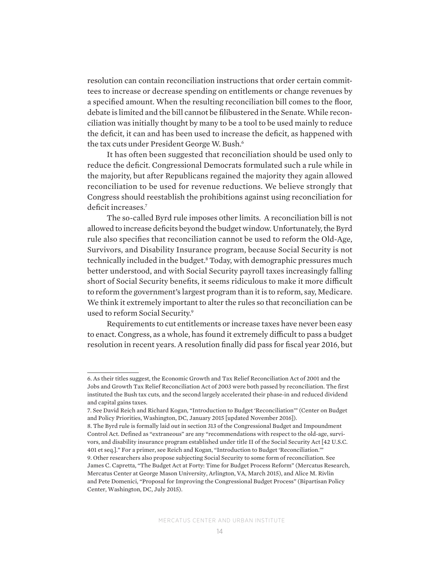resolution can contain reconciliation instructions that order certain committees to increase or decrease spending on entitlements or change revenues by a specified amount. When the resulting reconciliation bill comes to the floor, debate is limited and the bill cannot be filibustered in the Senate. While reconciliation was initially thought by many to be a tool to be used mainly to reduce the deficit, it can and has been used to increase the deficit, as happened with the tax cuts under President George W. Bush.<sup>6</sup>

It has often been suggested that reconciliation should be used only to reduce the deficit. Congressional Democrats formulated such a rule while in the majority, but after Republicans regained the majority they again allowed reconciliation to be used for revenue reductions. We believe strongly that Congress should reestablish the prohibitions against using reconciliation for deficit increases.<sup>7</sup>

The so-called Byrd rule imposes other limits. A reconciliation bill is not allowed to increase deficits beyond the budget window. Unfortunately, the Byrd rule also specifies that reconciliation cannot be used to reform the Old-Age, Survivors, and Disability Insurance program, because Social Security is not technically included in the budget.<sup>8</sup> Today, with demographic pressures much better understood, and with Social Security payroll taxes increasingly falling short of Social Security benefits, it seems ridiculous to make it more difficult to reform the government's largest program than it is to reform, say, Medicare. We think it extremely important to alter the rules so that reconciliation can be used to reform Social Security.9

Requirements to cut entitlements or increase taxes have never been easy to enact. Congress, as a whole, has found it extremely difficult to pass a budget resolution in recent years. A resolution finally did pass for fiscal year 2016, but

<sup>6.</sup> As their titles suggest, the Economic Growth and Tax Relief Reconciliation Act of 2001 and the Jobs and Growth Tax Relief Reconciliation Act of 2003 were both passed by reconciliation. The first instituted the Bush tax cuts, and the second largely accelerated their phase-in and reduced dividend and capital gains taxes.

<sup>7.</sup> See David Reich and Richard Kogan, "Introduction to Budget 'Reconciliation'" (Center on Budget and Policy Priorities, Washington, DC, January 2015 [updated November 2016]).

<sup>8.</sup> The Byrd rule is formally laid out in section 313 of the Congressional Budget and Impoundment Control Act. Defined as "extraneous" are any "recommendations with respect to the old-age, survivors, and disability insurance program established under title II of the Social Security Act [42 U.S.C. 401 et seq.]." For a primer, see Reich and Kogan, "Introduction to Budget 'Reconciliation.'" 9. Other researchers also propose subjecting Social Security to some form of reconciliation. See James C. Capretta, "The Budget Act at Forty: Time for Budget Process Reform" (Mercatus Research, Mercatus Center at George Mason University, Arlington, VA, March 2015), and Alice M. Rivlin and Pete Domenici, "Proposal for Improving the Congressional Budget Process" (Bipartisan Policy Center, Washington, DC, July 2015).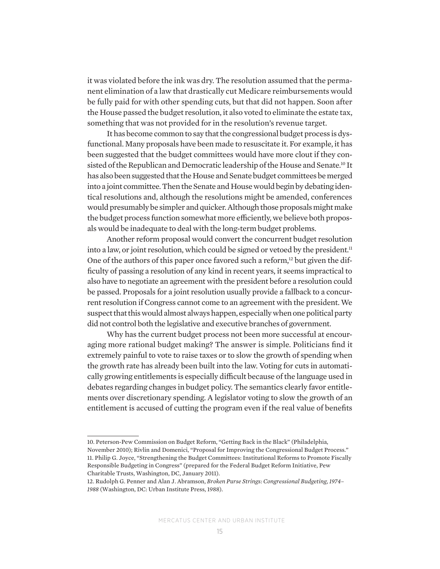it was violated before the ink was dry. The resolution assumed that the permanent elimination of a law that drastically cut Medicare reimbursements would be fully paid for with other spending cuts, but that did not happen. Soon after the House passed the budget resolution, it also voted to eliminate the estate tax, something that was not provided for in the resolution's revenue target.

It has become common to say that the congressional budget process is dysfunctional. Many proposals have been made to resuscitate it. For example, it has been suggested that the budget committees would have more clout if they consisted of the Republican and Democratic leadership of the House and Senate.<sup>10</sup> It has also been suggested that the House and Senate budget committees be merged into a joint committee. Then the Senate and House would begin by debating identical resolutions and, although the resolutions might be amended, conferences would presumably be simpler and quicker. Although those proposals might make the budget process function somewhat more efficiently, we believe both proposals would be inadequate to deal with the long-term budget problems.

Another reform proposal would convert the concurrent budget resolution into a law, or joint resolution, which could be signed or vetoed by the president. $11$ One of the authors of this paper once favored such a reform,<sup>12</sup> but given the difficulty of passing a resolution of any kind in recent years, it seems impractical to also have to negotiate an agreement with the president before a resolution could be passed. Proposals for a joint resolution usually provide a fallback to a concurrent resolution if Congress cannot come to an agreement with the president. We suspect that this would almost always happen, especially when one political party did not control both the legislative and executive branches of government.

Why has the current budget process not been more successful at encouraging more rational budget making? The answer is simple. Politicians find it extremely painful to vote to raise taxes or to slow the growth of spending when the growth rate has already been built into the law. Voting for cuts in automatically growing entitlements is especially difficult because of the language used in debates regarding changes in budget policy. The semantics clearly favor entitlements over discretionary spending. A legislator voting to slow the growth of an entitlement is accused of cutting the program even if the real value of benefits

<sup>10.</sup> Peterson-Pew Commission on Budget Reform, "Getting Back in the Black" (Philadelphia, November 2010); Rivlin and Domenici, "Proposal for Improving the Congressional Budget Process." 11. Philip G. Joyce, "Strengthening the Budget Committees: Institutional Reforms to Promote Fiscally Responsible Budgeting in Congress" (prepared for the Federal Budget Reform Initiative, Pew Charitable Trusts, Washington, DC, January 2011).

<sup>12.</sup> Rudolph G. Penner and Alan J. Abramson, *Broken Purse Strings: Congressional Budgeting, 1974– 1988* (Washington, DC: Urban Institute Press, 1988).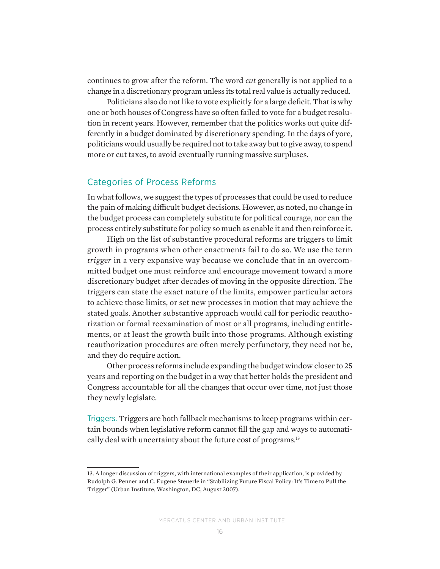continues to grow after the reform. The word *cut* generally is not applied to a change in a discretionary program unless its total real value is actually reduced.

Politicians also do not like to vote explicitly for a large deficit. That is why one or both houses of Congress have so often failed to vote for a budget resolution in recent years. However, remember that the politics works out quite differently in a budget dominated by discretionary spending. In the days of yore, politicians would usually be required not to take away but to give away, to spend more or cut taxes, to avoid eventually running massive surpluses.

### Categories of Process Reforms

In what follows, we suggest the types of processes that could be used to reduce the pain of making difficult budget decisions. However, as noted, no change in the budget process can completely substitute for political courage, nor can the process entirely substitute for policy so much as enable it and then reinforce it.

High on the list of substantive procedural reforms are triggers to limit growth in programs when other enactments fail to do so. We use the term *trigger* in a very expansive way because we conclude that in an overcommitted budget one must reinforce and encourage movement toward a more discretionary budget after decades of moving in the opposite direction. The triggers can state the exact nature of the limits, empower particular actors to achieve those limits, or set new processes in motion that may achieve the stated goals. Another substantive approach would call for periodic reauthorization or formal reexamination of most or all programs, including entitlements, or at least the growth built into those programs. Although existing reauthorization procedures are often merely perfunctory, they need not be, and they do require action.

Other process reforms include expanding the budget window closer to 25 years and reporting on the budget in a way that better holds the president and Congress accountable for all the changes that occur over time, not just those they newly legislate.

Triggers. Triggers are both fallback mechanisms to keep programs within certain bounds when legislative reform cannot fill the gap and ways to automatically deal with uncertainty about the future cost of programs.<sup>13</sup>

<sup>13.</sup> A longer discussion of triggers, with international examples of their application, is provided by Rudolph G. Penner and C. Eugene Steuerle in "Stabilizing Future Fiscal Policy: It's Time to Pull the Trigger" (Urban Institute, Washington, DC, August 2007).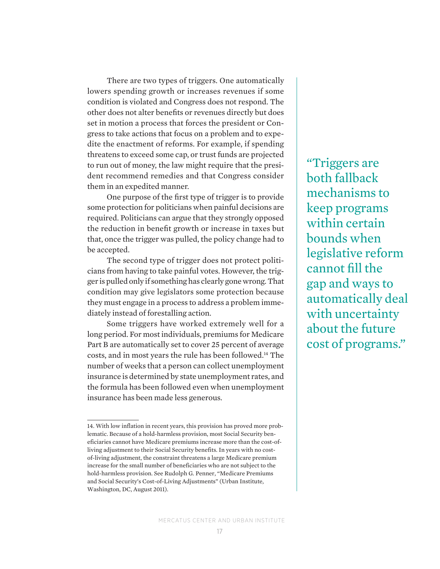There are two types of triggers. One automatically lowers spending growth or increases revenues if some condition is violated and Congress does not respond. The other does not alter benefits or revenues directly but does set in motion a process that forces the president or Congress to take actions that focus on a problem and to expedite the enactment of reforms. For example, if spending threatens to exceed some cap, or trust funds are projected to run out of money, the law might require that the president recommend remedies and that Congress consider them in an expedited manner.

One purpose of the first type of trigger is to provide some protection for politicians when painful decisions are required. Politicians can argue that they strongly opposed the reduction in benefit growth or increase in taxes but that, once the trigger was pulled, the policy change had to be accepted.

The second type of trigger does not protect politicians from having to take painful votes. However, the trigger is pulled only if something has clearly gone wrong. That condition may give legislators some protection because they must engage in a process to address a problem immediately instead of forestalling action.

Some triggers have worked extremely well for a long period. For most individuals, premiums for Medicare Part B are automatically set to cover 25 percent of average costs, and in most years the rule has been followed.14 The number of weeks that a person can collect unemployment insurance is determined by state unemployment rates, and the formula has been followed even when unemployment insurance has been made less generous.

"Triggers are both fallback mechanisms to keep programs within certain bounds when legislative reform cannot fill the gap and ways to automatically deal with uncertainty about the future cost of programs."

<sup>14.</sup> With low inflation in recent years, this provision has proved more problematic. Because of a hold-harmless provision, most Social Security beneficiaries cannot have Medicare premiums increase more than the cost-ofliving adjustment to their Social Security benefits. In years with no costof-living adjustment, the constraint threatens a large Medicare premium increase for the small number of beneficiaries who are not subject to the hold-harmless provision. See Rudolph G. Penner, "Medicare Premiums and Social Security's Cost-of-Living Adjustments" (Urban Institute, Washington, DC, August 2011).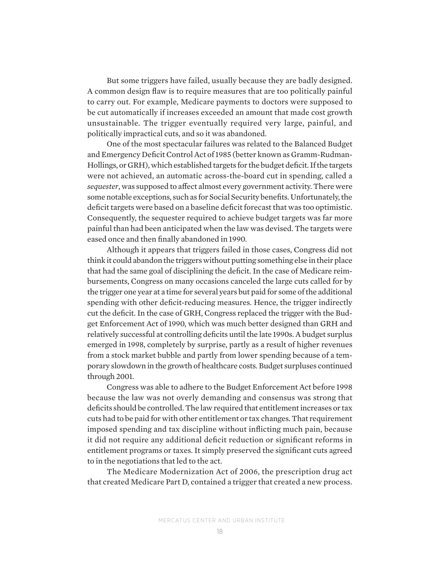But some triggers have failed, usually because they are badly designed. A common design flaw is to require measures that are too politically painful to carry out. For example, Medicare payments to doctors were supposed to be cut automatically if increases exceeded an amount that made cost growth unsustainable. The trigger eventually required very large, painful, and politically impractical cuts, and so it was abandoned.

One of the most spectacular failures was related to the Balanced Budget and Emergency Deficit Control Act of 1985 (better known as Gramm-Rudman-Hollings, or GRH), which established targets for the budget deficit. If the targets were not achieved, an automatic across-the-board cut in spending, called a *sequester*, was supposed to affect almost every government activity. There were some notable exceptions, such as for Social Security benefits. Unfortunately, the deficit targets were based on a baseline deficit forecast that was too optimistic. Consequently, the sequester required to achieve budget targets was far more painful than had been anticipated when the law was devised. The targets were eased once and then finally abandoned in 1990.

Although it appears that triggers failed in those cases, Congress did not think it could abandon the triggers without putting something else in their place that had the same goal of disciplining the deficit. In the case of Medicare reimbursements, Congress on many occasions canceled the large cuts called for by the trigger one year at a time for several years but paid for some of the additional spending with other deficit-reducing measures. Hence, the trigger indirectly cut the deficit. In the case of GRH, Congress replaced the trigger with the Budget Enforcement Act of 1990, which was much better designed than GRH and relatively successful at controlling deficits until the late 1990s. A budget surplus emerged in 1998, completely by surprise, partly as a result of higher revenues from a stock market bubble and partly from lower spending because of a temporary slowdown in the growth of healthcare costs. Budget surpluses continued through 2001.

Congress was able to adhere to the Budget Enforcement Act before 1998 because the law was not overly demanding and consensus was strong that deficits should be controlled. The law required that entitlement increases or tax cuts had to be paid for with other entitlement or tax changes. That requirement imposed spending and tax discipline without inflicting much pain, because it did not require any additional deficit reduction or significant reforms in entitlement programs or taxes. It simply preserved the significant cuts agreed to in the negotiations that led to the act.

The Medicare Modernization Act of 2006, the prescription drug act that created Medicare Part D, contained a trigger that created a new process.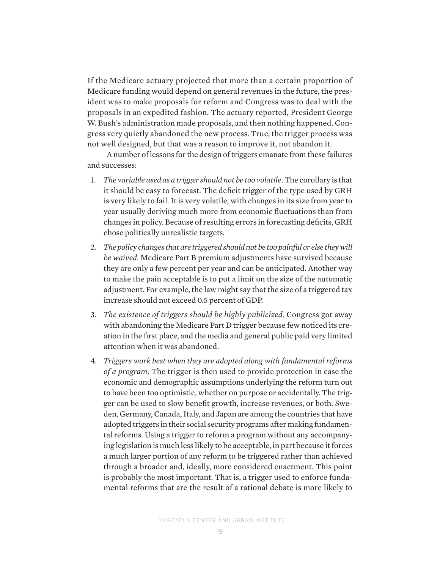If the Medicare actuary projected that more than a certain proportion of Medicare funding would depend on general revenues in the future, the president was to make proposals for reform and Congress was to deal with the proposals in an expedited fashion. The actuary reported, President George W. Bush's administration made proposals, and then nothing happened. Congress very quietly abandoned the new process. True, the trigger process was not well designed, but that was a reason to improve it, not abandon it.

A number of lessons for the design of triggers emanate from these failures and successes:

- 1. *The variable used as a trigger should not be too volatile*. The corollary is that it should be easy to forecast. The deficit trigger of the type used by GRH is very likely to fail. It is very volatile, with changes in its size from year to year usually deriving much more from economic fluctuations than from changes in policy. Because of resulting errors in forecasting deficits, GRH chose politically unrealistic targets.
- 2. The policy changes that are triggered should not be too painful or else they will *be waived*. Medicare Part B premium adjustments have survived because they are only a few percent per year and can be anticipated. Another way to make the pain acceptable is to put a limit on the size of the automatic adjustment. For example, the law might say that the size of a triggered tax increase should not exceed 0.5 percent of GDP.
- 3. *The existence of triggers should be highly publicized*. Congress got away with abandoning the Medicare Part D trigger because few noticed its creation in the first place, and the media and general public paid very limited attention when it was abandoned.
- 4. *Triggers work best when they are adopted along with fundamental reforms of a program*. The trigger is then used to provide protection in case the economic and demographic assumptions underlying the reform turn out to have been too optimistic, whether on purpose or accidentally. The trigger can be used to slow benefit growth, increase revenues, or both. Sweden, Germany, Canada, Italy, and Japan are among the countries that have adopted triggers in their social security programs after making fundamental reforms. Using a trigger to reform a program without any accompanying legislation is much less likely to be acceptable, in part because it forces a much larger portion of any reform to be triggered rather than achieved through a broader and, ideally, more considered enactment. This point is probably the most important. That is, a trigger used to enforce fundamental reforms that are the result of a rational debate is more likely to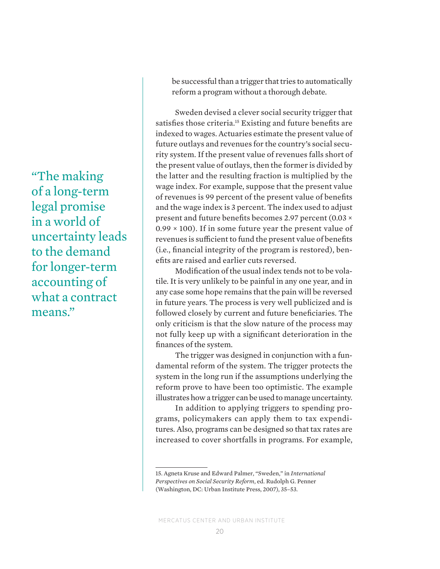"The making of a long-term legal promise in a world of uncertainty leads to the demand for longer-term accounting of what a contract means."

be successful than a trigger that tries to automatically reform a program without a thorough debate.

Sweden devised a clever social security trigger that satisfies those criteria.<sup>15</sup> Existing and future benefits are indexed to wages. Actuaries estimate the present value of future outlays and revenues for the country's social security system. If the present value of revenues falls short of the present value of outlays, then the former is divided by the latter and the resulting fraction is multiplied by the wage index. For example, suppose that the present value of revenues is 99 percent of the present value of benefits and the wage index is 3 percent. The index used to adjust present and future benefits becomes 2.97 percent (0.03 ×  $0.99 \times 100$ ). If in some future year the present value of revenues is sufficient to fund the present value of benefits (i.e., financial integrity of the program is restored), benefits are raised and earlier cuts reversed.

Modification of the usual index tends not to be volatile. It is very unlikely to be painful in any one year, and in any case some hope remains that the pain will be reversed in future years. The process is very well publicized and is followed closely by current and future beneficiaries. The only criticism is that the slow nature of the process may not fully keep up with a significant deterioration in the finances of the system.

The trigger was designed in conjunction with a fundamental reform of the system. The trigger protects the system in the long run if the assumptions underlying the reform prove to have been too optimistic. The example illustrates how a trigger can be used to manage uncertainty.

In addition to applying triggers to spending programs, policymakers can apply them to tax expenditures. Also, programs can be designed so that tax rates are increased to cover shortfalls in programs. For example,

<sup>15.</sup> Agneta Kruse and Edward Palmer, "Sweden," in *International Perspectives on Social Security Reform*, ed. Rudolph G. Penner (Washington, DC: Urban Institute Press, 2007), 35–53.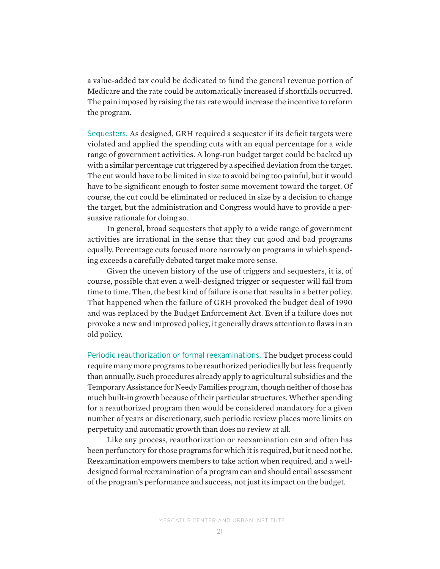a value-added tax could be dedicated to fund the general revenue portion of Medicare and the rate could be automatically increased if shortfalls occurred. The pain imposed by raising the tax rate would increase the incentive to reform the program.

Sequesters. As designed, GRH required a sequester if its deficit targets were violated and applied the spending cuts with an equal percentage for a wide range of government activities. A long-run budget target could be backed up with a similar percentage cut triggered by a specified deviation from the target. The cut would have to be limited in size to avoid being too painful, but it would have to be significant enough to foster some movement toward the target. Of course, the cut could be eliminated or reduced in size by a decision to change the target, but the administration and Congress would have to provide a persuasive rationale for doing so.

In general, broad sequesters that apply to a wide range of government activities are irrational in the sense that they cut good and bad programs equally. Percentage cuts focused more narrowly on programs in which spending exceeds a carefully debated target make more sense.

Given the uneven history of the use of triggers and sequesters, it is, of course, possible that even a well-designed trigger or sequester will fail from time to time. Then, the best kind of failure is one that results in a better policy. That happened when the failure of GRH provoked the budget deal of 1990 and was replaced by the Budget Enforcement Act. Even if a failure does not provoke a new and improved policy, it generally draws attention to flaws in an old policy.

Periodic reauthorization or formal reexaminations. The budget process could require many more programs to be reauthorized periodically but less frequently than annually. Such procedures already apply to agricultural subsidies and the Temporary Assistance for Needy Families program, though neither of those has much built-in growth because of their particular structures. Whether spending for a reauthorized program then would be considered mandatory for a given number of years or discretionary, such periodic review places more limits on perpetuity and automatic growth than does no review at all.

Like any process, reauthorization or reexamination can and often has been perfunctory for those programs for which it is required, but it need not be. Reexamination empowers members to take action when required, and a welldesigned formal reexamination of a program can and should entail assessment of the program's performance and success, not just its impact on the budget.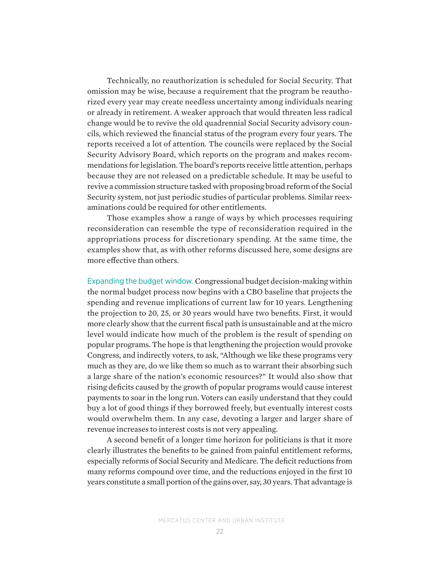Technically, no reauthorization is scheduled for Social Security. That omission may be wise, because a requirement that the program be reauthorized every year may create needless uncertainty among individuals nearing or already in retirement. A weaker approach that would threaten less radical change would be to revive the old quadrennial Social Security advisory councils, which reviewed the financial status of the program every four years. The reports received a lot of attention. The councils were replaced by the Social Security Advisory Board, which reports on the program and makes recommendations for legislation. The board's reports receive little attention, perhaps because they are not released on a predictable schedule. It may be useful to revive a commission structure tasked with proposing broad reform of the Social Security system, not just periodic studies of particular problems. Similar reexaminations could be required for other entitlements.

Those examples show a range of ways by which processes requiring reconsideration can resemble the type of reconsideration required in the appropriations process for discretionary spending. At the same time, the examples show that, as with other reforms discussed here, some designs are more effective than others.

Expanding the budget window. Congressional budget decision-making within the normal budget process now begins with a CBO baseline that projects the spending and revenue implications of current law for 10 years. Lengthening the projection to 20, 25, or 30 years would have two benefits. First, it would more clearly show that the current fiscal path is unsustainable and at the micro level would indicate how much of the problem is the result of spending on popular programs. The hope is that lengthening the projection would provoke Congress, and indirectly voters, to ask, "Although we like these programs very much as they are, do we like them so much as to warrant their absorbing such a large share of the nation's economic resources?" It would also show that rising deficits caused by the growth of popular programs would cause interest payments to soar in the long run. Voters can easily understand that they could buy a lot of good things if they borrowed freely, but eventually interest costs would overwhelm them. In any case, devoting a larger and larger share of revenue increases to interest costs is not very appealing.

A second benefit of a longer time horizon for politicians is that it more clearly illustrates the benefits to be gained from painful entitlement reforms, especially reforms of Social Security and Medicare. The deficit reductions from many reforms compound over time, and the reductions enjoyed in the first 10 years constitute a small portion of the gains over, say, 30 years. That advantage is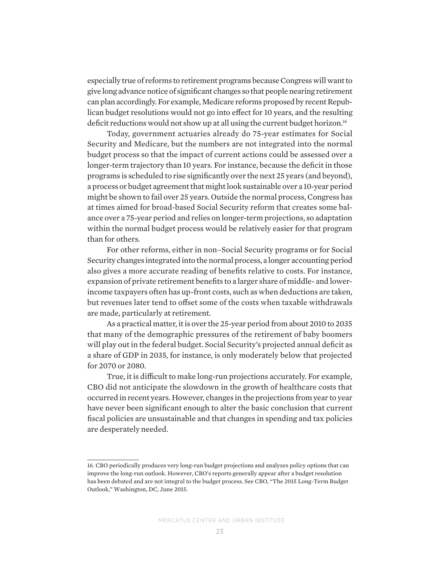especially true of reforms to retirement programs because Congress will want to give long advance notice of significant changes so that people nearing retirement can plan accordingly. For example, Medicare reforms proposed by recent Republican budget resolutions would not go into effect for 10 years, and the resulting deficit reductions would not show up at all using the current budget horizon.<sup>16</sup>

Today, government actuaries already do 75-year estimates for Social Security and Medicare, but the numbers are not integrated into the normal budget process so that the impact of current actions could be assessed over a longer-term trajectory than 10 years. For instance, because the deficit in those programs is scheduled to rise significantly over the next 25 years (and beyond), a process or budget agreement that might look sustainable over a 10-year period might be shown to fail over 25 years. Outside the normal process, Congress has at times aimed for broad-based Social Security reform that creates some balance over a 75-year period and relies on longer-term projections, so adaptation within the normal budget process would be relatively easier for that program than for others.

For other reforms, either in non–Social Security programs or for Social Security changes integrated into the normal process, a longer accounting period also gives a more accurate reading of benefits relative to costs. For instance, expansion of private retirement benefits to a larger share of middle- and lowerincome taxpayers often has up-front costs, such as when deductions are taken, but revenues later tend to offset some of the costs when taxable withdrawals are made, particularly at retirement.

As a practical matter, it is over the 25-year period from about 2010 to 2035 that many of the demographic pressures of the retirement of baby boomers will play out in the federal budget. Social Security's projected annual deficit as a share of GDP in 2035, for instance, is only moderately below that projected for 2070 or 2080.

True, it is difficult to make long-run projections accurately. For example, CBO did not anticipate the slowdown in the growth of healthcare costs that occurred in recent years. However, changes in the projections from year to year have never been significant enough to alter the basic conclusion that current fiscal policies are unsustainable and that changes in spending and tax policies are desperately needed.

<sup>16.</sup> CBO periodically produces very long-run budget projections and analyzes policy options that can improve the long-run outlook. However, CBO's reports generally appear after a budget resolution has been debated and are not integral to the budget process. See CBO, "The 2015 Long-Term Budget Outlook," Washington, DC, June 2015.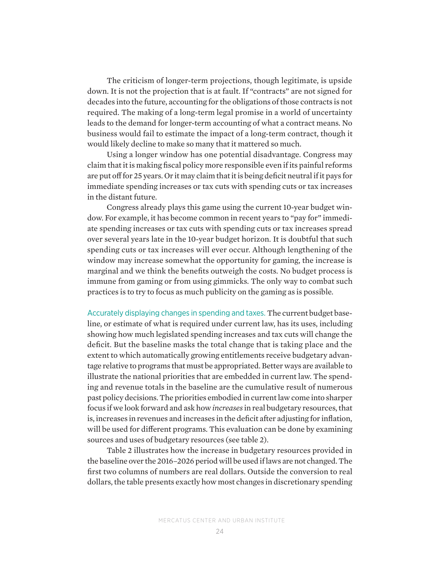The criticism of longer-term projections, though legitimate, is upside down. It is not the projection that is at fault. If "contracts" are not signed for decades into the future, accounting for the obligations of those contracts is not required. The making of a long-term legal promise in a world of uncertainty leads to the demand for longer-term accounting of what a contract means. No business would fail to estimate the impact of a long-term contract, though it would likely decline to make so many that it mattered so much.

Using a longer window has one potential disadvantage. Congress may claim that it is making fiscal policy more responsible even if its painful reforms are put off for 25 years. Or it may claim that it is being deficit neutral if it pays for immediate spending increases or tax cuts with spending cuts or tax increases in the distant future.

Congress already plays this game using the current 10-year budget window. For example, it has become common in recent years to "pay for" immediate spending increases or tax cuts with spending cuts or tax increases spread over several years late in the 10-year budget horizon. It is doubtful that such spending cuts or tax increases will ever occur. Although lengthening of the window may increase somewhat the opportunity for gaming, the increase is marginal and we think the benefits outweigh the costs. No budget process is immune from gaming or from using gimmicks. The only way to combat such practices is to try to focus as much publicity on the gaming as is possible.

Accurately displaying changes in spending and taxes. The current budget baseline, or estimate of what is required under current law, has its uses, including showing how much legislated spending increases and tax cuts will change the deficit. But the baseline masks the total change that is taking place and the extent to which automatically growing entitlements receive budgetary advantage relative to programs that must be appropriated. Better ways are available to illustrate the national priorities that are embedded in current law. The spending and revenue totals in the baseline are the cumulative result of numerous past policy decisions. The priorities embodied in current law come into sharper focus if we look forward and ask how *increases* in real budgetary resources, that is, increases in revenues and increases in the deficit after adjusting for inflation, will be used for different programs. This evaluation can be done by examining sources and uses of budgetary resources (see table 2).

Table 2 illustrates how the increase in budgetary resources provided in the baseline over the 2016–2026 period will be used if laws are not changed. The first two columns of numbers are real dollars. Outside the conversion to real dollars, the table presents exactly how most changes in discretionary spending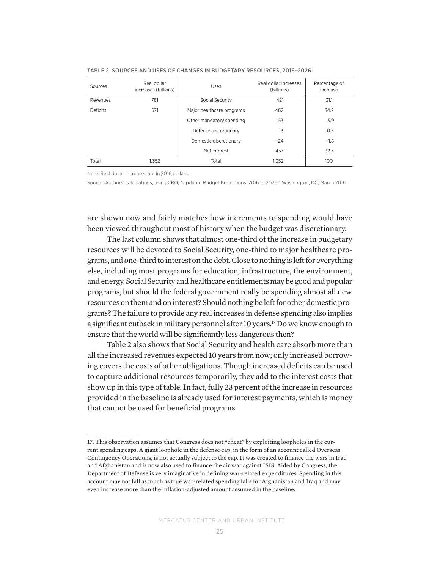| Sources         | Real dollar<br>increases (billions) | Uses                      | Real dollar increases<br>(billions) | Percentage of<br>increase |
|-----------------|-------------------------------------|---------------------------|-------------------------------------|---------------------------|
| Revenues        | 781                                 | Social Security           | 421                                 | 31.1                      |
| <b>Deficits</b> | 571                                 | Major healthcare programs | 462                                 | 34.2                      |
|                 |                                     | Other mandatory spending  | 53                                  | 3.9                       |
|                 |                                     | Defense discretionary     | 3                                   | 0.3                       |
|                 |                                     | Domestic discretionary    | $-24$                               | $-1.8$                    |
|                 |                                     | Net interest              | 437                                 | 32.3                      |
| Total           | 1.352                               | Total                     | 1,352                               | 100                       |

TABLE 2. SOURCES AND USES OF CHANGES IN BUDGETARY RESOURCES, 2016–2026

Note: Real dollar increases are in 2016 dollars.

Source: Authors' calculations, using CBO, "Updated Budget Projections: 2016 to 2026," Washington, DC, March 2016.

are shown now and fairly matches how increments to spending would have been viewed throughout most of history when the budget was discretionary.

The last column shows that almost one-third of the increase in budgetary resources will be devoted to Social Security, one-third to major healthcare programs, and one-third to interest on the debt. Close to nothing is left for everything else, including most programs for education, infrastructure, the environment, and energy. Social Security and healthcare entitlements may be good and popular programs, but should the federal government really be spending almost all new resources on them and on interest? Should nothing be left for other domestic programs? The failure to provide any real increases in defense spending also implies a significant cutback in military personnel after 10 years.17 Do we know enough to ensure that the world will be significantly less dangerous then?

Table 2 also shows that Social Security and health care absorb more than all the increased revenues expected 10 years from now; only increased borrowing covers the costs of other obligations. Though increased deficits can be used to capture additional resources temporarily, they add to the interest costs that show up in this type of table. In fact, fully 23 percent of the increase in resources provided in the baseline is already used for interest payments, which is money that cannot be used for beneficial programs.

<sup>17.</sup> This observation assumes that Congress does not "cheat" by exploiting loopholes in the current spending caps. A giant loophole in the defense cap, in the form of an account called Overseas Contingency Operations, is not actually subject to the cap. It was created to finance the wars in Iraq and Afghanistan and is now also used to finance the air war against ISIS. Aided by Congress, the Department of Defense is very imaginative in defining war-related expenditures. Spending in this account may not fall as much as true war-related spending falls for Afghanistan and Iraq and may even increase more than the inflation-adjusted amount assumed in the baseline.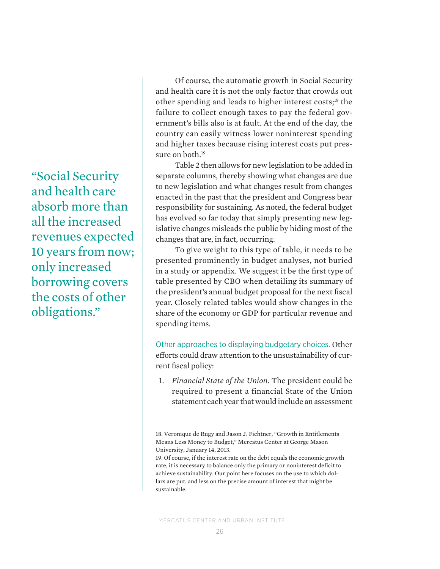"Social Security and health care absorb more than all the increased revenues expected 10 years from now; only increased borrowing covers the costs of other obligations."

Of course, the automatic growth in Social Security and health care it is not the only factor that crowds out other spending and leads to higher interest costs;18 the failure to collect enough taxes to pay the federal government's bills also is at fault. At the end of the day, the country can easily witness lower noninterest spending and higher taxes because rising interest costs put pressure on both.<sup>19</sup>

Table 2 then allows for new legislation to be added in separate columns, thereby showing what changes are due to new legislation and what changes result from changes enacted in the past that the president and Congress bear responsibility for sustaining. As noted, the federal budget has evolved so far today that simply presenting new legislative changes misleads the public by hiding most of the changes that are, in fact, occurring.

To give weight to this type of table, it needs to be presented prominently in budget analyses, not buried in a study or appendix. We suggest it be the first type of table presented by CBO when detailing its summary of the president's annual budget proposal for the next fiscal year. Closely related tables would show changes in the share of the economy or GDP for particular revenue and spending items.

Other approaches to displaying budgetary choices. Other efforts could draw attention to the unsustainability of current fiscal policy:

1. *Financial State of the Union*. The president could be required to present a financial State of the Union statement each year that would include an assessment

<sup>18.</sup> Veronique de Rugy and Jason J. Fichtner, "Growth in Entitlements Means Less Money to Budget," Mercatus Center at George Mason University, January 14, 2013.

<sup>19.</sup> Of course, if the interest rate on the debt equals the economic growth rate, it is necessary to balance only the primary or noninterest deficit to achieve sustainability. Our point here focuses on the use to which dollars are put, and less on the precise amount of interest that might be sustainable.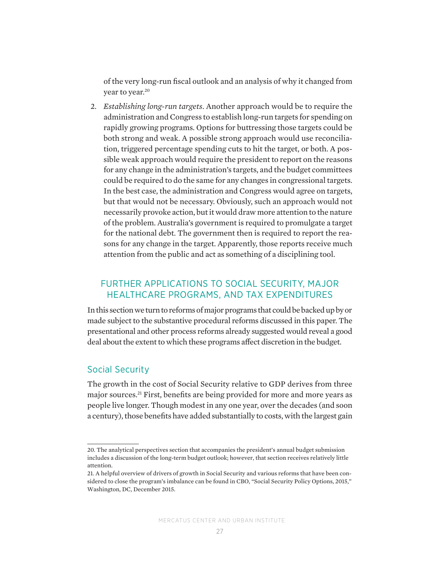of the very long-run fiscal outlook and an analysis of why it changed from year to year.<sup>20</sup>

2. *Establishing long-run targets*. Another approach would be to require the administration and Congress to establish long-run targets for spending on rapidly growing programs. Options for buttressing those targets could be both strong and weak. A possible strong approach would use reconciliation, triggered percentage spending cuts to hit the target, or both. A possible weak approach would require the president to report on the reasons for any change in the administration's targets, and the budget committees could be required to do the same for any changes in congressional targets. In the best case, the administration and Congress would agree on targets, but that would not be necessary. Obviously, such an approach would not necessarily provoke action, but it would draw more attention to the nature of the problem. Australia's government is required to promulgate a target for the national debt. The government then is required to report the reasons for any change in the target. Apparently, those reports receive much attention from the public and act as something of a disciplining tool.

## FURTHER APPLICATIONS TO SOCIAL SECURITY, MAJOR HEALTHCARE PROGRAMS, AND TAX EXPENDITURES

In this section we turn to reforms of major programs that could be backed up by or made subject to the substantive procedural reforms discussed in this paper. The presentational and other process reforms already suggested would reveal a good deal about the extent to which these programs affect discretion in the budget.

### Social Security

The growth in the cost of Social Security relative to GDP derives from three major sources.21 First, benefits are being provided for more and more years as people live longer. Though modest in any one year, over the decades (and soon a century), those benefits have added substantially to costs, with the largest gain

<sup>20.</sup> The analytical perspectives section that accompanies the president's annual budget submission includes a discussion of the long-term budget outlook; however, that section receives relatively little attention.

<sup>21.</sup> A helpful overview of drivers of growth in Social Security and various reforms that have been considered to close the program's imbalance can be found in CBO, "Social Security Policy Options, 2015," Washington, DC, December 2015.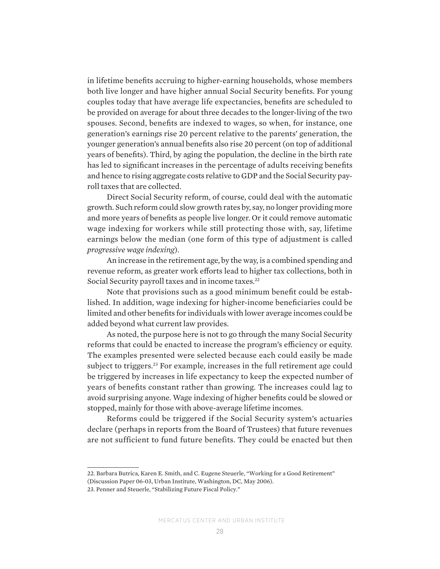in lifetime benefits accruing to higher-earning households, whose members both live longer and have higher annual Social Security benefits. For young couples today that have average life expectancies, benefits are scheduled to be provided on average for about three decades to the longer-living of the two spouses. Second, benefits are indexed to wages, so when, for instance, one generation's earnings rise 20 percent relative to the parents' generation, the younger generation's annual benefits also rise 20 percent (on top of additional years of benefits). Third, by aging the population, the decline in the birth rate has led to significant increases in the percentage of adults receiving benefits and hence to rising aggregate costs relative to GDP and the Social Security payroll taxes that are collected.

Direct Social Security reform, of course, could deal with the automatic growth. Such reform could slow growth rates by, say, no longer providing more and more years of benefits as people live longer. Or it could remove automatic wage indexing for workers while still protecting those with, say, lifetime earnings below the median (one form of this type of adjustment is called *progressive wage indexing*).

An increase in the retirement age, by the way, is a combined spending and revenue reform, as greater work efforts lead to higher tax collections, both in Social Security payroll taxes and in income taxes.<sup>22</sup>

Note that provisions such as a good minimum benefit could be established. In addition, wage indexing for higher-income beneficiaries could be limited and other benefits for individuals with lower average incomes could be added beyond what current law provides.

As noted, the purpose here is not to go through the many Social Security reforms that could be enacted to increase the program's efficiency or equity. The examples presented were selected because each could easily be made subject to triggers.<sup>23</sup> For example, increases in the full retirement age could be triggered by increases in life expectancy to keep the expected number of years of benefits constant rather than growing. The increases could lag to avoid surprising anyone. Wage indexing of higher benefits could be slowed or stopped, mainly for those with above-average lifetime incomes.

Reforms could be triggered if the Social Security system's actuaries declare (perhaps in reports from the Board of Trustees) that future revenues are not sufficient to fund future benefits. They could be enacted but then

<sup>22.</sup> Barbara Butrica, Karen E. Smith, and C. Eugene Steuerle, "Working for a Good Retirement"

<sup>(</sup>Discussion Paper 06-03, Urban Institute, Washington, DC, May 2006).

<sup>23.</sup> Penner and Steuerle, "Stabilizing Future Fiscal Policy."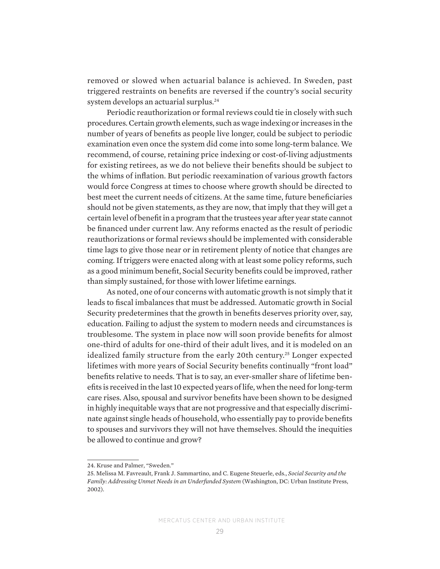removed or slowed when actuarial balance is achieved. In Sweden, past triggered restraints on benefits are reversed if the country's social security system develops an actuarial surplus.<sup>24</sup>

Periodic reauthorization or formal reviews could tie in closely with such procedures. Certain growth elements, such as wage indexing or increases in the number of years of benefits as people live longer, could be subject to periodic examination even once the system did come into some long-term balance. We recommend, of course, retaining price indexing or cost-of-living adjustments for existing retirees, as we do not believe their benefits should be subject to the whims of inflation. But periodic reexamination of various growth factors would force Congress at times to choose where growth should be directed to best meet the current needs of citizens. At the same time, future beneficiaries should not be given statements, as they are now, that imply that they will get a certain level of benefit in a program that the trustees year after year state cannot be financed under current law. Any reforms enacted as the result of periodic reauthorizations or formal reviews should be implemented with considerable time lags to give those near or in retirement plenty of notice that changes are coming. If triggers were enacted along with at least some policy reforms, such as a good minimum benefit, Social Security benefits could be improved, rather than simply sustained, for those with lower lifetime earnings.

As noted, one of our concerns with automatic growth is not simply that it leads to fiscal imbalances that must be addressed. Automatic growth in Social Security predetermines that the growth in benefits deserves priority over, say, education. Failing to adjust the system to modern needs and circumstances is troublesome. The system in place now will soon provide benefits for almost one-third of adults for one-third of their adult lives, and it is modeled on an idealized family structure from the early 20th century.<sup>25</sup> Longer expected lifetimes with more years of Social Security benefits continually "front load" benefits relative to needs. That is to say, an ever-smaller share of lifetime benefits is received in the last 10 expected years of life, when the need for long-term care rises. Also, spousal and survivor benefits have been shown to be designed in highly inequitable ways that are not progressive and that especially discriminate against single heads of household, who essentially pay to provide benefits to spouses and survivors they will not have themselves. Should the inequities be allowed to continue and grow?

<sup>24.</sup> Kruse and Palmer, "Sweden."

<sup>25.</sup> Melissa M. Favreault, Frank J. Sammartino, and C. Eugene Steuerle, eds., *Social Security and the Family: Addressing Unmet Needs in an Underfunded System* (Washington, DC: Urban Institute Press, 2002).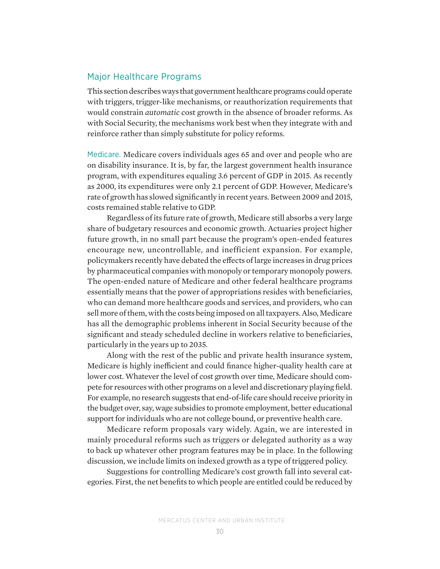## Major Healthcare Programs

This section describes ways that government healthcare programs could operate with triggers, trigger-like mechanisms, or reauthorization requirements that would constrain *automatic* cost growth in the absence of broader reforms. As with Social Security, the mechanisms work best when they integrate with and reinforce rather than simply substitute for policy reforms.

Medicare. Medicare covers individuals ages 65 and over and people who are on disability insurance. It is, by far, the largest government health insurance program, with expenditures equaling 3.6 percent of GDP in 2015. As recently as 2000, its expenditures were only 2.1 percent of GDP. However, Medicare's rate of growth has slowed significantly in recent years. Between 2009 and 2015, costs remained stable relative to GDP.

Regardless of its future rate of growth, Medicare still absorbs a very large share of budgetary resources and economic growth. Actuaries project higher future growth, in no small part because the program's open-ended features encourage new, uncontrollable, and inefficient expansion. For example, policymakers recently have debated the effects of large increases in drug prices by pharmaceutical companies with monopoly or temporary monopoly powers. The open-ended nature of Medicare and other federal healthcare programs essentially means that the power of appropriations resides with beneficiaries, who can demand more healthcare goods and services, and providers, who can sell more of them, with the costs being imposed on all taxpayers. Also, Medicare has all the demographic problems inherent in Social Security because of the significant and steady scheduled decline in workers relative to beneficiaries, particularly in the years up to 2035.

Along with the rest of the public and private health insurance system, Medicare is highly inefficient and could finance higher-quality health care at lower cost. Whatever the level of cost growth over time, Medicare should compete for resources with other programs on a level and discretionary playing field. For example, no research suggests that end-of-life care should receive priority in the budget over, say, wage subsidies to promote employment, better educational support for individuals who are not college bound, or preventive health care.

Medicare reform proposals vary widely. Again, we are interested in mainly procedural reforms such as triggers or delegated authority as a way to back up whatever other program features may be in place. In the following discussion, we include limits on indexed growth as a type of triggered policy.

Suggestions for controlling Medicare's cost growth fall into several categories. First, the net benefits to which people are entitled could be reduced by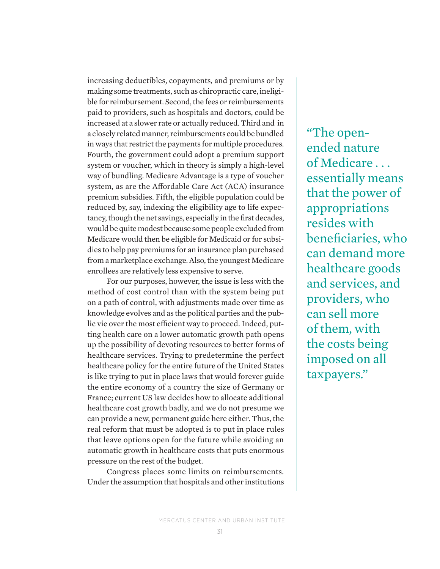increasing deductibles, copayments, and premiums or by making some treatments, such as chiropractic care, ineligible for reimbursement. Second, the fees or reimbursements paid to providers, such as hospitals and doctors, could be increased at a slower rate or actually reduced. Third and in a closely related manner, reimbursements could be bundled in ways that restrict the payments for multiple procedures. Fourth, the government could adopt a premium support system or voucher, which in theory is simply a high-level way of bundling. Medicare Advantage is a type of voucher system, as are the Affordable Care Act (ACA) insurance premium subsidies. Fifth, the eligible population could be reduced by, say, indexing the eligibility age to life expectancy, though the net savings, especially in the first decades, would be quite modest because some people excluded from Medicare would then be eligible for Medicaid or for subsidies to help pay premiums for an insurance plan purchased from a marketplace exchange. Also, the youngest Medicare enrollees are relatively less expensive to serve.

For our purposes, however, the issue is less with the method of cost control than with the system being put on a path of control, with adjustments made over time as knowledge evolves and as the political parties and the public vie over the most efficient way to proceed. Indeed, putting health care on a lower automatic growth path opens up the possibility of devoting resources to better forms of healthcare services. Trying to predetermine the perfect healthcare policy for the entire future of the United States is like trying to put in place laws that would forever guide the entire economy of a country the size of Germany or France; current US law decides how to allocate additional healthcare cost growth badly, and we do not presume we can provide a new, permanent guide here either. Thus, the real reform that must be adopted is to put in place rules that leave options open for the future while avoiding an automatic growth in healthcare costs that puts enormous pressure on the rest of the budget.

Congress places some limits on reimbursements. Under the assumption that hospitals and other institutions "The openended nature of Medicare . . . essentially means that the power of appropriations resides with beneficiaries, who can demand more healthcare goods and services, and providers, who can sell more of them, with the costs being imposed on all taxpayers."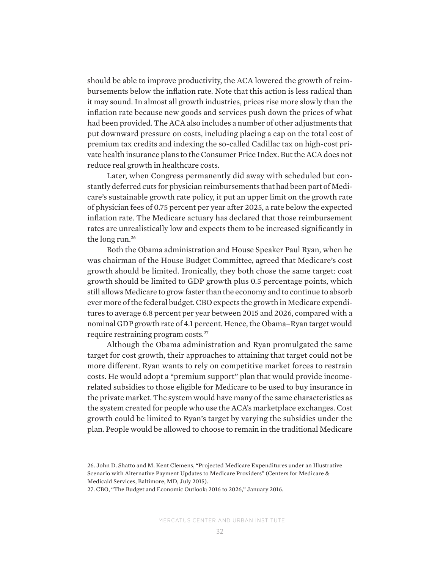should be able to improve productivity, the ACA lowered the growth of reimbursements below the inflation rate. Note that this action is less radical than it may sound. In almost all growth industries, prices rise more slowly than the inflation rate because new goods and services push down the prices of what had been provided. The ACA also includes a number of other adjustments that put downward pressure on costs, including placing a cap on the total cost of premium tax credits and indexing the so-called Cadillac tax on high-cost private health insurance plans to the Consumer Price Index. But the ACA does not reduce real growth in healthcare costs.

Later, when Congress permanently did away with scheduled but constantly deferred cuts for physician reimbursements that had been part of Medicare's sustainable growth rate policy, it put an upper limit on the growth rate of physician fees of 0.75 percent per year after 2025, a rate below the expected inflation rate. The Medicare actuary has declared that those reimbursement rates are unrealistically low and expects them to be increased significantly in the long run.<sup>26</sup>

Both the Obama administration and House Speaker Paul Ryan, when he was chairman of the House Budget Committee, agreed that Medicare's cost growth should be limited. Ironically, they both chose the same target: cost growth should be limited to GDP growth plus 0.5 percentage points, which still allows Medicare to grow faster than the economy and to continue to absorb ever more of the federal budget. CBO expects the growth in Medicare expenditures to average 6.8 percent per year between 2015 and 2026, compared with a nominal GDP growth rate of 4.1 percent. Hence, the Obama–Ryan target would require restraining program costs.27

Although the Obama administration and Ryan promulgated the same target for cost growth, their approaches to attaining that target could not be more different. Ryan wants to rely on competitive market forces to restrain costs. He would adopt a "premium support" plan that would provide incomerelated subsidies to those eligible for Medicare to be used to buy insurance in the private market. The system would have many of the same characteristics as the system created for people who use the ACA's marketplace exchanges. Cost growth could be limited to Ryan's target by varying the subsidies under the plan. People would be allowed to choose to remain in the traditional Medicare

<sup>26.</sup> John D. Shatto and M. Kent Clemens, "Projected Medicare Expenditures under an Illustrative Scenario with Alternative Payment Updates to Medicare Providers" (Centers for Medicare & Medicaid Services, Baltimore, MD, July 2015).

<sup>27.</sup> CBO, "The Budget and Economic Outlook: 2016 to 2026," January 2016.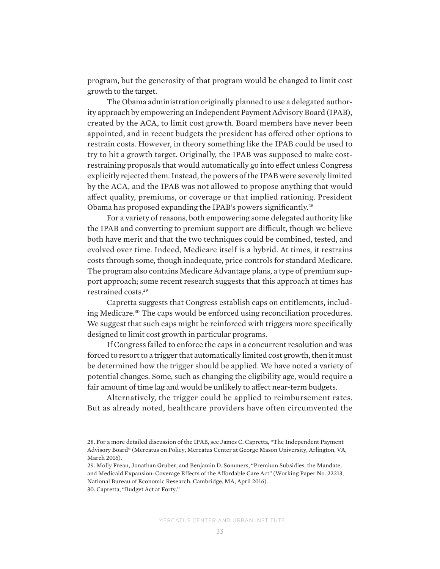program, but the generosity of that program would be changed to limit cost growth to the target.

The Obama administration originally planned to use a delegated authority approach by empowering an Independent Payment Advisory Board (IPAB), created by the ACA, to limit cost growth. Board members have never been appointed, and in recent budgets the president has offered other options to restrain costs. However, in theory something like the IPAB could be used to try to hit a growth target. Originally, the IPAB was supposed to make costrestraining proposals that would automatically go into effect unless Congress explicitly rejected them. Instead, the powers of the IPAB were severely limited by the ACA, and the IPAB was not allowed to propose anything that would affect quality, premiums, or coverage or that implied rationing. President Obama has proposed expanding the IPAB's powers significantly.28

For a variety of reasons, both empowering some delegated authority like the IPAB and converting to premium support are difficult, though we believe both have merit and that the two techniques could be combined, tested, and evolved over time. Indeed, Medicare itself is a hybrid. At times, it restrains costs through some, though inadequate, price controls for standard Medicare. The program also contains Medicare Advantage plans, a type of premium support approach; some recent research suggests that this approach at times has restrained costs.29

Capretta suggests that Congress establish caps on entitlements, including Medicare.30 The caps would be enforced using reconciliation procedures. We suggest that such caps might be reinforced with triggers more specifically designed to limit cost growth in particular programs.

If Congress failed to enforce the caps in a concurrent resolution and was forced to resort to a trigger that automatically limited cost growth, then it must be determined how the trigger should be applied. We have noted a variety of potential changes. Some, such as changing the eligibility age, would require a fair amount of time lag and would be unlikely to affect near-term budgets.

Alternatively, the trigger could be applied to reimbursement rates. But as already noted, healthcare providers have often circumvented the

<sup>28.</sup> For a more detailed discussion of the IPAB, see James C. Capretta, "The Independent Payment Advisory Board" (Mercatus on Policy, Mercatus Center at George Mason University, Arlington, VA, March 2016).

<sup>29.</sup> Molly Frean, Jonathan Gruber, and Benjamin D. Sommers, "Premium Subsidies, the Mandate, and Medicaid Expansion: Coverage Effects of the Affordable Care Act" (Working Paper No. 22213, National Bureau of Economic Research, Cambridge, MA, April 2016).

<sup>30.</sup> Capretta, "Budget Act at Forty."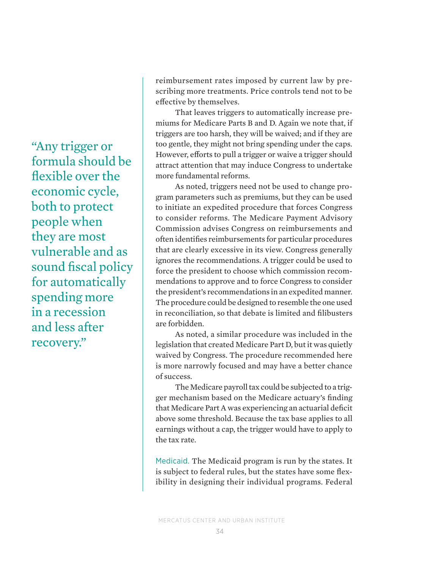"Any trigger or formula should be flexible over the economic cycle, both to protect people when they are most vulnerable and as sound fiscal policy for automatically spending more in a recession and less after recovery."

reimbursement rates imposed by current law by prescribing more treatments. Price controls tend not to be effective by themselves.

That leaves triggers to automatically increase premiums for Medicare Parts B and D. Again we note that, if triggers are too harsh, they will be waived; and if they are too gentle, they might not bring spending under the caps. However, efforts to pull a trigger or waive a trigger should attract attention that may induce Congress to undertake more fundamental reforms.

As noted, triggers need not be used to change program parameters such as premiums, but they can be used to initiate an expedited procedure that forces Congress to consider reforms. The Medicare Payment Advisory Commission advises Congress on reimbursements and often identifies reimbursements for particular procedures that are clearly excessive in its view. Congress generally ignores the recommendations. A trigger could be used to force the president to choose which commission recommendations to approve and to force Congress to consider the president's recommendations in an expedited manner. The procedure could be designed to resemble the one used in reconciliation, so that debate is limited and filibusters are forbidden.

As noted, a similar procedure was included in the legislation that created Medicare Part D, but it was quietly waived by Congress. The procedure recommended here is more narrowly focused and may have a better chance of success.

The Medicare payroll tax could be subjected to a trigger mechanism based on the Medicare actuary's finding that Medicare Part A was experiencing an actuarial deficit above some threshold. Because the tax base applies to all earnings without a cap, the trigger would have to apply to the tax rate.

Medicaid. The Medicaid program is run by the states. It is subject to federal rules, but the states have some flexibility in designing their individual programs. Federal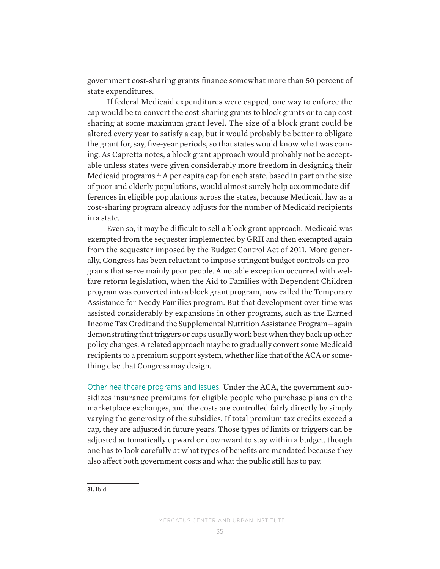government cost-sharing grants finance somewhat more than 50 percent of state expenditures.

If federal Medicaid expenditures were capped, one way to enforce the cap would be to convert the cost-sharing grants to block grants or to cap cost sharing at some maximum grant level. The size of a block grant could be altered every year to satisfy a cap, but it would probably be better to obligate the grant for, say, five-year periods, so that states would know what was coming. As Capretta notes, a block grant approach would probably not be acceptable unless states were given considerably more freedom in designing their Medicaid programs.31 A per capita cap for each state, based in part on the size of poor and elderly populations, would almost surely help accommodate differences in eligible populations across the states, because Medicaid law as a cost-sharing program already adjusts for the number of Medicaid recipients in a state.

Even so, it may be difficult to sell a block grant approach. Medicaid was exempted from the sequester implemented by GRH and then exempted again from the sequester imposed by the Budget Control Act of 2011. More generally, Congress has been reluctant to impose stringent budget controls on programs that serve mainly poor people. A notable exception occurred with welfare reform legislation, when the Aid to Families with Dependent Children program was converted into a block grant program, now called the Temporary Assistance for Needy Families program. But that development over time was assisted considerably by expansions in other programs, such as the Earned Income Tax Credit and the Supplemental Nutrition Assistance Program—again demonstrating that triggers or caps usually work best when they back up other policy changes. A related approach may be to gradually convert some Medicaid recipients to a premium support system, whether like that of the ACA or something else that Congress may design.

Other healthcare programs and issues. Under the ACA, the government subsidizes insurance premiums for eligible people who purchase plans on the marketplace exchanges, and the costs are controlled fairly directly by simply varying the generosity of the subsidies. If total premium tax credits exceed a cap, they are adjusted in future years. Those types of limits or triggers can be adjusted automatically upward or downward to stay within a budget, though one has to look carefully at what types of benefits are mandated because they also affect both government costs and what the public still has to pay.

<sup>31.</sup> Ibid.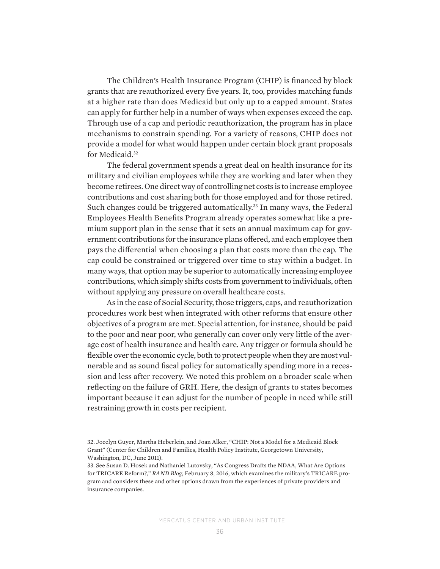The Children's Health Insurance Program (CHIP) is financed by block grants that are reauthorized every five years. It, too, provides matching funds at a higher rate than does Medicaid but only up to a capped amount. States can apply for further help in a number of ways when expenses exceed the cap. Through use of a cap and periodic reauthorization, the program has in place mechanisms to constrain spending. For a variety of reasons, CHIP does not provide a model for what would happen under certain block grant proposals for Medicaid.<sup>32</sup>

The federal government spends a great deal on health insurance for its military and civilian employees while they are working and later when they become retirees. One direct way of controlling net costs is to increase employee contributions and cost sharing both for those employed and for those retired. Such changes could be triggered automatically.<sup>33</sup> In many ways, the Federal Employees Health Benefits Program already operates somewhat like a premium support plan in the sense that it sets an annual maximum cap for government contributions for the insurance plans offered, and each employee then pays the differential when choosing a plan that costs more than the cap. The cap could be constrained or triggered over time to stay within a budget. In many ways, that option may be superior to automatically increasing employee contributions, which simply shifts costs from government to individuals, often without applying any pressure on overall healthcare costs.

As in the case of Social Security, those triggers, caps, and reauthorization procedures work best when integrated with other reforms that ensure other objectives of a program are met. Special attention, for instance, should be paid to the poor and near poor, who generally can cover only very little of the average cost of health insurance and health care. Any trigger or formula should be flexible over the economic cycle, both to protect people when they are most vulnerable and as sound fiscal policy for automatically spending more in a recession and less after recovery. We noted this problem on a broader scale when reflecting on the failure of GRH. Here, the design of grants to states becomes important because it can adjust for the number of people in need while still restraining growth in costs per recipient.

<sup>32.</sup> Jocelyn Guyer, Martha Heberlein, and Joan Alker, "CHIP: Not a Model for a Medicaid Block Grant" (Center for Children and Families, Health Policy Institute, Georgetown University, Washington, DC, June 2011).

<sup>33.</sup> See Susan D. Hosek and Nathaniel Lutovsky, "As Congress Drafts the NDAA, What Are Options for TRICARE Reform?," *RAND Blog*, February 8, 2016, which examines the military's TRICARE program and considers these and other options drawn from the experiences of private providers and insurance companies.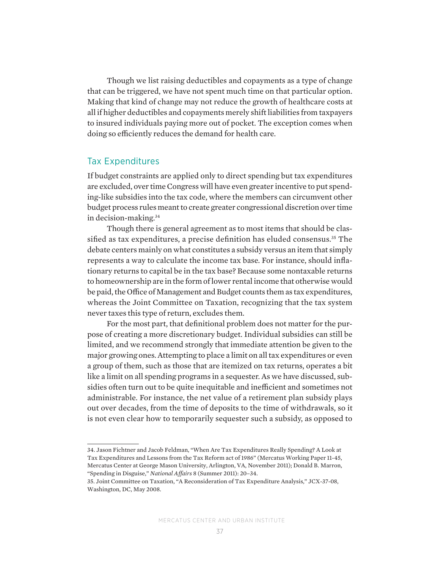Though we list raising deductibles and copayments as a type of change that can be triggered, we have not spent much time on that particular option. Making that kind of change may not reduce the growth of healthcare costs at all if higher deductibles and copayments merely shift liabilities from taxpayers to insured individuals paying more out of pocket. The exception comes when doing so efficiently reduces the demand for health care.

#### Tax Expenditures

If budget constraints are applied only to direct spending but tax expenditures are excluded, over time Congress will have even greater incentive to put spending-like subsidies into the tax code, where the members can circumvent other budget process rules meant to create greater congressional discretion over time in decision-making.34

Though there is general agreement as to most items that should be classified as tax expenditures, a precise definition has eluded consensus.<sup>35</sup> The debate centers mainly on what constitutes a subsidy versus an item that simply represents a way to calculate the income tax base. For instance, should inflationary returns to capital be in the tax base? Because some nontaxable returns to homeownership are in the form of lower rental income that otherwise would be paid, the Office of Management and Budget counts them as tax expenditures, whereas the Joint Committee on Taxation, recognizing that the tax system never taxes this type of return, excludes them.

For the most part, that definitional problem does not matter for the purpose of creating a more discretionary budget. Individual subsidies can still be limited, and we recommend strongly that immediate attention be given to the major growing ones.Attempting to place a limit on all tax expenditures or even a group of them, such as those that are itemized on tax returns, operates a bit like a limit on all spending programs in a sequester. As we have discussed, subsidies often turn out to be quite inequitable and inefficient and sometimes not administrable. For instance, the net value of a retirement plan subsidy plays out over decades, from the time of deposits to the time of withdrawals, so it is not even clear how to temporarily sequester such a subsidy, as opposed to

34. Jason Fichtner and Jacob Feldman, "When Are Tax Expenditures Really Spending? A Look at Tax Expenditures and Lessons from the Tax Reform act of 1986" (Mercatus Working Paper 11-45, Mercatus Center at George Mason University, Arlington, VA, November 2011); Donald B. Marron, "Spending in Disguise," *National Affairs* 8 (Summer 2011): 20–34.

<sup>35.</sup> Joint Committee on Taxation, "A Reconsideration of Tax Expenditure Analysis," JCX-37-08, Washington, DC, May 2008.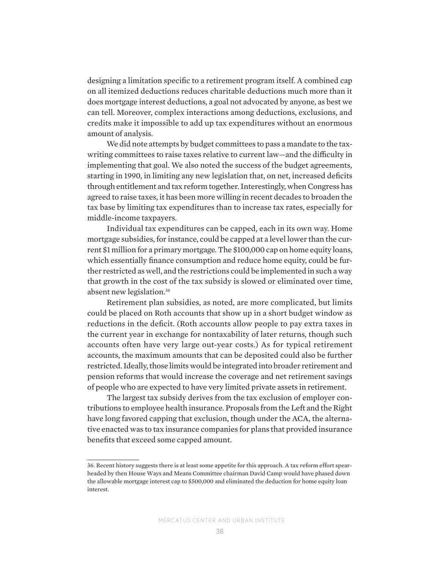designing a limitation specific to a retirement program itself. A combined cap on all itemized deductions reduces charitable deductions much more than it does mortgage interest deductions, a goal not advocated by anyone, as best we can tell. Moreover, complex interactions among deductions, exclusions, and credits make it impossible to add up tax expenditures without an enormous amount of analysis.

We did note attempts by budget committees to pass a mandate to the taxwriting committees to raise taxes relative to current law—and the difficulty in implementing that goal. We also noted the success of the budget agreements, starting in 1990, in limiting any new legislation that, on net, increased deficits through entitlement and tax reform together. Interestingly, when Congress has agreed to raise taxes, it has been more willing in recent decades to broaden the tax base by limiting tax expenditures than to increase tax rates, especially for middle-income taxpayers.

Individual tax expenditures can be capped, each in its own way. Home mortgage subsidies, for instance, could be capped at a level lower than the current \$1 million for a primary mortgage. The \$100,000 cap on home equity loans, which essentially finance consumption and reduce home equity, could be further restricted as well, and the restrictions could be implemented in such a way that growth in the cost of the tax subsidy is slowed or eliminated over time, absent new legislation.36

Retirement plan subsidies, as noted, are more complicated, but limits could be placed on Roth accounts that show up in a short budget window as reductions in the deficit. (Roth accounts allow people to pay extra taxes in the current year in exchange for nontaxability of later returns, though such accounts often have very large out-year costs.) As for typical retirement accounts, the maximum amounts that can be deposited could also be further restricted. Ideally, those limits would be integrated into broader retirement and pension reforms that would increase the coverage and net retirement savings of people who are expected to have very limited private assets in retirement.

The largest tax subsidy derives from the tax exclusion of employer contributions to employee health insurance. Proposals from the Left and the Right have long favored capping that exclusion, though under the ACA, the alternative enacted was to tax insurance companies for plans that provided insurance benefits that exceed some capped amount.

<sup>36.</sup> Recent history suggests there is at least some appetite for this approach. A tax reform effort spearheaded by then House Ways and Means Committee chairman David Camp would have phased down the allowable mortgage interest cap to \$500,000 and eliminated the deduction for home equity loan interest.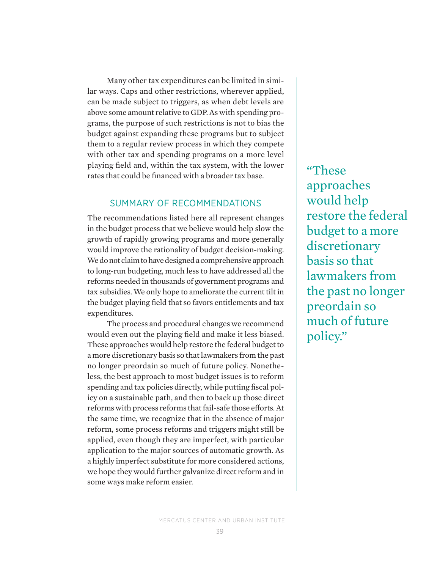Many other tax expenditures can be limited in similar ways. Caps and other restrictions, wherever applied, can be made subject to triggers, as when debt levels are above some amount relative to GDP. As with spending programs, the purpose of such restrictions is not to bias the budget against expanding these programs but to subject them to a regular review process in which they compete with other tax and spending programs on a more level playing field and, within the tax system, with the lower rates that could be financed with a broader tax base.

## SUMMARY OF RECOMMENDATIONS

The recommendations listed here all represent changes in the budget process that we believe would help slow the growth of rapidly growing programs and more generally would improve the rationality of budget decision-making. We do not claim to have designed a comprehensive approach to long-run budgeting, much less to have addressed all the reforms needed in thousands of government programs and tax subsidies. We only hope to ameliorate the current tilt in the budget playing field that so favors entitlements and tax expenditures.

The process and procedural changes we recommend would even out the playing field and make it less biased. These approaches would help restore the federal budget to a more discretionary basis so that lawmakers from the past no longer preordain so much of future policy. Nonetheless, the best approach to most budget issues is to reform spending and tax policies directly, while putting fiscal policy on a sustainable path, and then to back up those direct reforms with process reforms that fail-safe those efforts. At the same time, we recognize that in the absence of major reform, some process reforms and triggers might still be applied, even though they are imperfect, with particular application to the major sources of automatic growth. As a highly imperfect substitute for more considered actions, we hope they would further galvanize direct reform and in some ways make reform easier.

"These approaches would help restore the federal budget to a more discretionary basis so that lawmakers from the past no longer preordain so much of future policy."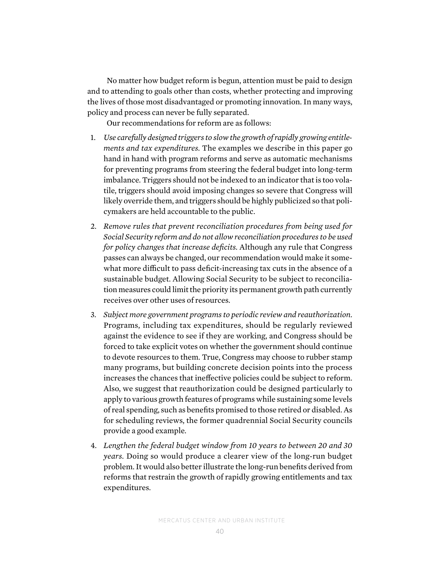No matter how budget reform is begun, attention must be paid to design and to attending to goals other than costs, whether protecting and improving the lives of those most disadvantaged or promoting innovation. In many ways, policy and process can never be fully separated.

Our recommendations for reform are as follows:

- 1. *Use carefully designed triggers to slow the growth of rapidly growing entitlements and tax expenditures.* The examples we describe in this paper go hand in hand with program reforms and serve as automatic mechanisms for preventing programs from steering the federal budget into long-term imbalance. Triggers should not be indexed to an indicator that is too volatile, triggers should avoid imposing changes so severe that Congress will likely override them, and triggers should be highly publicized so that policymakers are held accountable to the public.
- 2. *Remove rules that prevent reconciliation procedures from being used for Social Security reform and do not allow reconciliation procedures to be used for policy changes that increase deficits.* Although any rule that Congress passes can always be changed, our recommendation would make it somewhat more difficult to pass deficit-increasing tax cuts in the absence of a sustainable budget. Allowing Social Security to be subject to reconciliation measures could limit the priority its permanent growth path currently receives over other uses of resources.
- 3. *Subject more government programs to periodic review and reauthorization.*  Programs, including tax expenditures, should be regularly reviewed against the evidence to see if they are working, and Congress should be forced to take explicit votes on whether the government should continue to devote resources to them. True, Congress may choose to rubber stamp many programs, but building concrete decision points into the process increases the chances that ineffective policies could be subject to reform. Also, we suggest that reauthorization could be designed particularly to apply to various growth features of programs while sustaining some levels of real spending, such as benefits promised to those retired or disabled. As for scheduling reviews, the former quadrennial Social Security councils provide a good example.
- 4. *Lengthen the federal budget window from 10 years to between 20 and 30 years.* Doing so would produce a clearer view of the long-run budget problem. It would also better illustrate the long-run benefits derived from reforms that restrain the growth of rapidly growing entitlements and tax expenditures.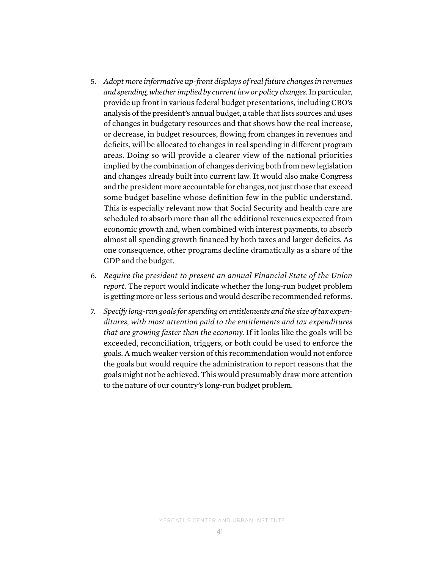- 5. *Adopt more informative up-front displays of real future changes in revenues and spending, whether implied by current law or policy changes.* In particular, provide up front in various federal budget presentations, including CBO's analysis of the president's annual budget, a table that lists sources and uses of changes in budgetary resources and that shows how the real increase, or decrease, in budget resources, flowing from changes in revenues and deficits, will be allocated to changes in real spending in different program areas. Doing so will provide a clearer view of the national priorities implied by the combination of changes deriving both from new legislation and changes already built into current law. It would also make Congress and the president more accountable for changes, not just those that exceed some budget baseline whose definition few in the public understand. This is especially relevant now that Social Security and health care are scheduled to absorb more than all the additional revenues expected from economic growth and, when combined with interest payments, to absorb almost all spending growth financed by both taxes and larger deficits. As one consequence, other programs decline dramatically as a share of the GDP and the budget.
- 6. *Require the president to present an annual Financial State of the Union report.* The report would indicate whether the long-run budget problem is getting more or less serious and would describe recommended reforms.
- 7. *Specify long-run goals for spending on entitlements and the size of tax expenditures, with most attention paid to the entitlements and tax expenditures that are growing faster than the economy.* If it looks like the goals will be exceeded, reconciliation, triggers, or both could be used to enforce the goals. A much weaker version of this recommendation would not enforce the goals but would require the administration to report reasons that the goals might not be achieved. This would presumably draw more attention to the nature of our country's long-run budget problem.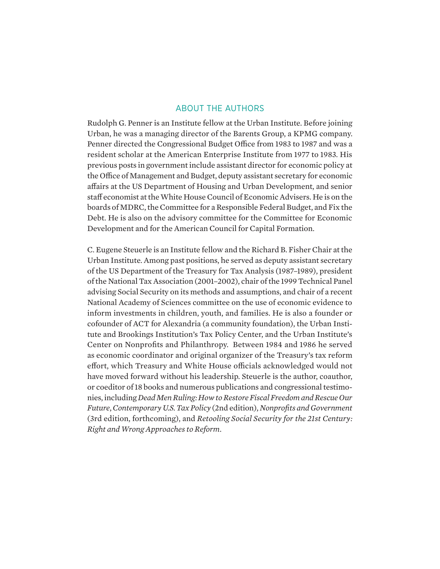#### ABOUT THE AUTHORS

Rudolph G. Penner is an Institute fellow at the Urban Institute. Before joining Urban, he was a managing director of the Barents Group, a KPMG company. Penner directed the Congressional Budget Office from 1983 to 1987 and was a resident scholar at the American Enterprise Institute from 1977 to 1983. His previous posts in government include assistant director for economic policy at the Office of Management and Budget, deputy assistant secretary for economic affairs at the US Department of Housing and Urban Development, and senior staff economist at the White House Council of Economic Advisers. He is on the boards of MDRC, the Committee for a Responsible Federal Budget, and Fix the Debt. He is also on the advisory committee for the Committee for Economic Development and for the American Council for Capital Formation.

C. Eugene Steuerle is an Institute fellow and the Richard B. Fisher Chair at the Urban Institute. Among past positions, he served as deputy assistant secretary of the US Department of the Treasury for Tax Analysis (1987–1989), president of the National Tax Association (2001–2002), chair of the 1999 Technical Panel advising Social Security on its methods and assumptions, and chair of a recent National Academy of Sciences committee on the use of economic evidence to inform investments in children, youth, and families. He is also a founder or cofounder of ACT for Alexandria (a community foundation), the Urban Institute and Brookings Institution's Tax Policy Center, and the Urban Institute's Center on Nonprofits and Philanthropy. Between 1984 and 1986 he served as economic coordinator and original organizer of the Treasury's tax reform effort, which Treasury and White House officials acknowledged would not have moved forward without his leadership. Steuerle is the author, coauthor, or coeditor of 18 books and numerous publications and congressional testimonies, including *Dead Men Ruling: How to Restore Fiscal Freedom and Rescue Our Future*, *Contemporary U.S. Tax Policy* (2nd edition), *Nonprofits and Government* (3rd edition, forthcoming), and *Retooling Social Security for the 21st Century: Right and Wrong Approaches to Reform*.